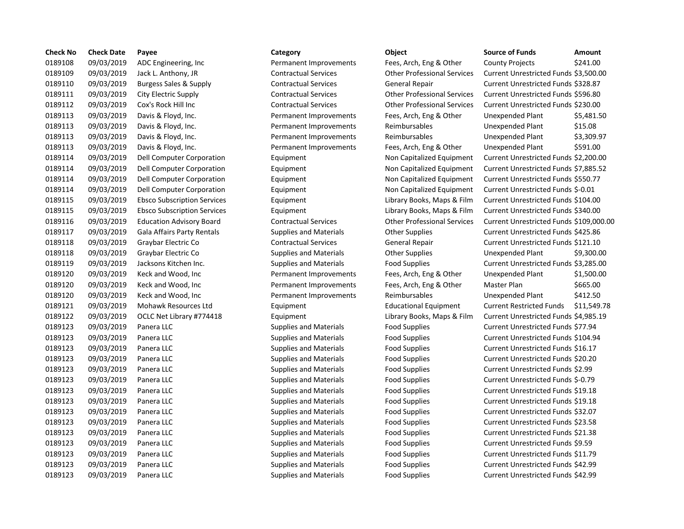| <b>Check No</b> | <b>Check Date</b> | Payee                              | Category                      | Object                             | <b>Source of Funds</b><br><b>Amount</b>     |
|-----------------|-------------------|------------------------------------|-------------------------------|------------------------------------|---------------------------------------------|
| 0189108         | 09/03/2019        | ADC Engineering, Inc.              | Permanent Improvements        | Fees, Arch, Eng & Other            | \$241.00<br><b>County Projects</b>          |
| 0189109         | 09/03/2019        | Jack L. Anthony, JR                | <b>Contractual Services</b>   | <b>Other Professional Services</b> | Current Unrestricted Funds \$3,500.         |
| 0189110         | 09/03/2019        | Burgess Sales & Supply             | <b>Contractual Services</b>   | General Repair                     | Current Unrestricted Funds \$328.87         |
| 0189111         | 09/03/2019        | City Electric Supply               | <b>Contractual Services</b>   | <b>Other Professional Services</b> | Current Unrestricted Funds \$596.80         |
| 0189112         | 09/03/2019        | Cox's Rock Hill Inc                | <b>Contractual Services</b>   | <b>Other Professional Services</b> | Current Unrestricted Funds \$230.00         |
| 0189113         | 09/03/2019        | Davis & Floyd, Inc.                | Permanent Improvements        | Fees, Arch, Eng & Other            | Unexpended Plant<br>\$5,481.5               |
| 0189113         | 09/03/2019        | Davis & Floyd, Inc.                | Permanent Improvements        | Reimbursables                      | Unexpended Plant<br>\$15.08                 |
| 0189113         | 09/03/2019        | Davis & Floyd, Inc.                | Permanent Improvements        | Reimbursables                      | \$3,309.9<br>Unexpended Plant               |
| 0189113         | 09/03/2019        | Davis & Floyd, Inc.                | Permanent Improvements        | Fees, Arch, Eng & Other            | Unexpended Plant<br>\$591.00                |
| 0189114         | 09/03/2019        | Dell Computer Corporation          | Equipment                     | Non Capitalized Equipment          | Current Unrestricted Funds \$2,200.0        |
| 0189114         | 09/03/2019        | Dell Computer Corporation          | Equipment                     | Non Capitalized Equipment          | Current Unrestricted Funds \$7,885.5        |
| 0189114         | 09/03/2019        | Dell Computer Corporation          | Equipment                     | Non Capitalized Equipment          | Current Unrestricted Funds \$550.77         |
| 0189114         | 09/03/2019        | <b>Dell Computer Corporation</b>   | Equipment                     | Non Capitalized Equipment          | Current Unrestricted Funds \$-0.01          |
| 0189115         | 09/03/2019        | <b>Ebsco Subscription Services</b> | Equipment                     | Library Books, Maps & Film         | Current Unrestricted Funds \$104.00         |
| 0189115         | 09/03/2019        | <b>Ebsco Subscription Services</b> | Equipment                     | Library Books, Maps & Film         | Current Unrestricted Funds \$340.00         |
| 0189116         | 09/03/2019        | <b>Education Advisory Board</b>    | <b>Contractual Services</b>   | <b>Other Professional Services</b> | Current Unrestricted Funds \$109,00         |
| 0189117         | 09/03/2019        | Gala Affairs Party Rentals         | <b>Supplies and Materials</b> | <b>Other Supplies</b>              | Current Unrestricted Funds \$425.86         |
| 0189118         | 09/03/2019        | Graybar Electric Co                | <b>Contractual Services</b>   | General Repair                     | Current Unrestricted Funds \$121.10         |
| 0189118         | 09/03/2019        | Graybar Electric Co                | <b>Supplies and Materials</b> | <b>Other Supplies</b>              | Unexpended Plant<br>\$9,300.0               |
| 0189119         | 09/03/2019        | Jacksons Kitchen Inc.              | <b>Supplies and Materials</b> | <b>Food Supplies</b>               | Current Unrestricted Funds \$3,285.0        |
| 0189120         | 09/03/2019        | Keck and Wood, Inc.                | Permanent Improvements        | Fees, Arch, Eng & Other            | Unexpended Plant<br>$$1,500$ .              |
| 0189120         | 09/03/2019        | Keck and Wood, Inc                 | Permanent Improvements        | Fees, Arch, Eng & Other            | \$665.00<br>Master Plan                     |
| 0189120         | 09/03/2019        | Keck and Wood, Inc                 | Permanent Improvements        | Reimbursables                      | <b>Unexpended Plant</b><br>\$412.50         |
| 0189121         | 09/03/2019        | Mohawk Resources Ltd               | Equipment                     | <b>Educational Equipment</b>       | <b>Current Restricted Funds</b><br>\$11,549 |
| 0189122         | 09/03/2019        | OCLC Net Library #774418           | Equipment                     | Library Books, Maps & Film         | Current Unrestricted Funds \$4,985.1        |
| 0189123         | 09/03/2019        | Panera LLC                         | <b>Supplies and Materials</b> | <b>Food Supplies</b>               | Current Unrestricted Funds \$77.94          |
| 0189123         | 09/03/2019        | Panera LLC                         | <b>Supplies and Materials</b> | <b>Food Supplies</b>               | Current Unrestricted Funds \$104.94         |
| 0189123         | 09/03/2019        | Panera LLC                         | <b>Supplies and Materials</b> | Food Supplies                      | Current Unrestricted Funds \$16.17          |
| 0189123         | 09/03/2019        | Panera LLC                         | <b>Supplies and Materials</b> | <b>Food Supplies</b>               | Current Unrestricted Funds \$20.20          |
| 0189123         | 09/03/2019        | Panera LLC                         | <b>Supplies and Materials</b> | <b>Food Supplies</b>               | Current Unrestricted Funds \$2.99           |
| 0189123         | 09/03/2019        | Panera LLC                         | <b>Supplies and Materials</b> | <b>Food Supplies</b>               | Current Unrestricted Funds \$-0.79          |
| 0189123         | 09/03/2019        | Panera LLC                         | <b>Supplies and Materials</b> | <b>Food Supplies</b>               | Current Unrestricted Funds \$19.18          |
| 0189123         | 09/03/2019        | Panera LLC                         | <b>Supplies and Materials</b> | <b>Food Supplies</b>               | Current Unrestricted Funds \$19.18          |
| 0189123         | 09/03/2019        | Panera LLC                         | <b>Supplies and Materials</b> | <b>Food Supplies</b>               | Current Unrestricted Funds \$32.07          |
| 0189123         | 09/03/2019        | Panera LLC                         | <b>Supplies and Materials</b> | <b>Food Supplies</b>               | Current Unrestricted Funds \$23.58          |
| 0189123         | 09/03/2019        | Panera LLC                         | <b>Supplies and Materials</b> | <b>Food Supplies</b>               | Current Unrestricted Funds \$21.38          |
| 0189123         | 09/03/2019        | Panera LLC                         | <b>Supplies and Materials</b> | <b>Food Supplies</b>               | Current Unrestricted Funds \$9.59           |
| 0189123         | 09/03/2019        | Panera LLC                         | <b>Supplies and Materials</b> | <b>Food Supplies</b>               | Current Unrestricted Funds \$11.79          |
| 0189123         | 09/03/2019        | Panera LLC                         | <b>Supplies and Materials</b> | <b>Food Supplies</b>               | Current Unrestricted Funds \$42.99          |
| 0189123         | 09/03/2019        | Panera LLC                         | <b>Supplies and Materials</b> | <b>Food Supplies</b>               | Current Unrestricted Funds \$42.99          |

# Permanent Improvements Fees, Arch, Eng & Other County Projects \$241.00 0189109 09/03/2019 Jack L. Anthony, JR Contractual Services Other Professional Services Current Unrestricted Funds \$3,500.00 0189110 09/03/2019 Burgess Sales & Supply Contractual Services General Repair Current Unrestricted Funds \$328.87 0189111 09/03/2019 City Electric Supply Contractual Services Other Professional Services Current Unrestricted Funds \$596.80 0189112 09/03/2019 Cox's Rock Hill Inc Contractual Services Other Professional Services Current Unrestricted Funds \$230.00 Permanent Improvements Fees, Arch, Eng & Other Unexpended Plant \$5,481.50 Permanent Improvements Reimbursables Unexpended Plant \$15.08 Permanent Improvements Reimbursables Unexpended Plant \$3,309.97 Permanent Improvements Fees, Arch, Eng & Other Unexpended Plant \$591.00 ation **1218 Equipment** Current Current Current Unrestricted Funds \$2,200.00 ation **1981 Equipment** Current Current Unrestricted Funds \$7,885.52 ation **1981** Equipment **Delarge Computer Computer Constructs** Current Unrestricted Funds \$550.77 ation **1218 Equipment** Computer Computer Computer Current Unrestricted Funds \$-0.01 0189115 09/03/2019 Ebsco Subscription Services Equipment Library Books, Maps & Film Current Unrestricted Funds \$104.00 0189115 09/03/2019 Ebsco Subscription Services Equipment Library Books, Maps & Film Current Unrestricted Funds \$340.00 0189116 09/03/2019 Education Advisory Board Contractual Services Other Professional Services Current Unrestricted Funds \$109,000.00 tals **19.2019 Cala Affairs Party Communist Contains Current Unrestricted Funds \$425.86** Current Unrestricted Funds \$425.86 0189118 09/03/2019 Graybar Electric Co Contractual Services General Repair Current Unrestricted Funds \$121.10 Supplies and Materials **Communisty Communist Construction** Cher Supplies Unexpended Plant \$9,300.00 0189119 09/03/2019 Jacksons Kitchen Inc. Supplies and Materials Food Supplies Current Unrestricted Funds \$3,285.00 Permanent Improvements Fees, Arch, Eng & Other Unexpended Plant \$1,500.00 Permanent Improvements Fees, Arch, Eng & Other Master Plan \$665.00 Permanent Improvements Reimbursables Unexpended Plant \$412.50 0189121 09/03/2019 Mohawk Resources Ltd Equipment Educational Equipment Current Restricted Funds \$11,549.78 018912 128 1418 Equipment Camerat Library Books, Maps & Film Current Unrestricted Funds \$4,985.19 Supplies and Materials **Food Supplies Current Unrestricted Funds \$77.94** Supplies and Materials **Example Food Supplies** Food Supplies Current Unrestricted Funds \$104.94 0189123 09/03/2019 Panera LLC Supplies and Materials Food Supplies Current Unrestricted Funds \$16.17 0189123 09/03/2019 Panera LLC Supplies and Materials Food Supplies Current Unrestricted Funds \$20.20 Supplies and Materials **Food Supplies Current Unrestricted Funds \$2.99** Supplies and Materials **EXEC SUPPLIES** Food Supplies Current Unrestricted Funds \$-0.79 0189123 09/03/2019 Panera LLC Supplies and Materials Food Supplies Current Unrestricted Funds \$19.18 0189123 09/03/2019 Panera LLC Supplies and Materials Food Supplies Current Unrestricted Funds \$19.18 0189123 09/03/2019 Panera LLC Supplies and Materials Food Supplies Current Unrestricted Funds \$32.07 0189123 09/03/2019 Panera LLC Supplies and Materials Food Supplies Current Unrestricted Funds \$23.58 Supplies and Materials **EXEC SUPPLIES** Food Supplies Current Unrestricted Funds \$21.38 0189123 09/03/2019 Panera LLC Supplies and Materials Food Supplies Current Unrestricted Funds \$9.59 0189123 09/03/2019 Panera LLC Supplies and Materials Food Supplies Current Unrestricted Funds \$11.79 0189123 09/03/2019 Panera LLC Supplies and Materials Food Supplies Current Unrestricted Funds \$42.99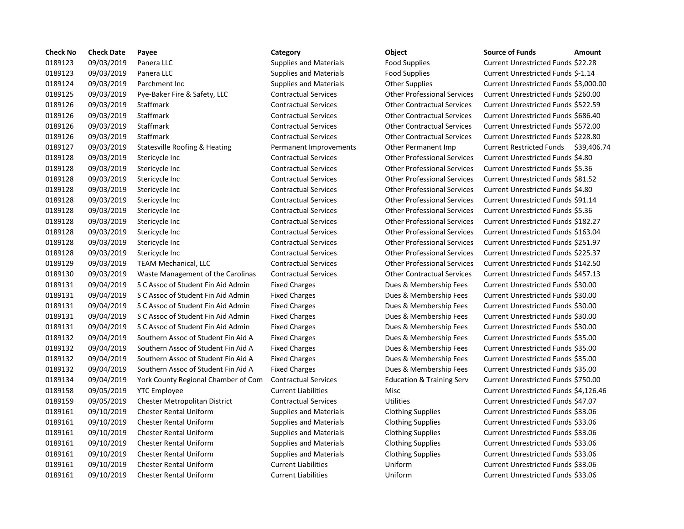| <b>Check No</b> | <b>Check Date</b> | Payee                                    | Category                      | Object                               | <b>Source of Funds</b><br>Amount            |
|-----------------|-------------------|------------------------------------------|-------------------------------|--------------------------------------|---------------------------------------------|
| 0189123         | 09/03/2019        | Panera LLC                               | <b>Supplies and Materials</b> | Food Supplies                        | <b>Current Unrestricted Funds \$22.28</b>   |
| 0189123         | 09/03/2019        | Panera LLC                               | <b>Supplies and Materials</b> | <b>Food Supplies</b>                 | Current Unrestricted Funds \$-1.14          |
| 0189124         | 09/03/2019        | Parchment Inc                            | <b>Supplies and Materials</b> | <b>Other Supplies</b>                | Current Unrestricted Funds \$3,000.0        |
| 0189125         | 09/03/2019        | Pye-Baker Fire & Safety, LLC             | <b>Contractual Services</b>   | <b>Other Professional Services</b>   | Current Unrestricted Funds \$260.00         |
| 0189126         | 09/03/2019        | Staffmark                                | <b>Contractual Services</b>   | <b>Other Contractual Services</b>    | Current Unrestricted Funds \$522.59         |
| 0189126         | 09/03/2019        | <b>Staffmark</b>                         | <b>Contractual Services</b>   | <b>Other Contractual Services</b>    | Current Unrestricted Funds \$686.40         |
| 0189126         | 09/03/2019        | <b>Staffmark</b>                         | <b>Contractual Services</b>   | <b>Other Contractual Services</b>    | Current Unrestricted Funds \$572.00         |
| 0189126         | 09/03/2019        | Staffmark                                | <b>Contractual Services</b>   | <b>Other Contractual Services</b>    | Current Unrestricted Funds \$228.80         |
| 0189127         | 09/03/2019        | <b>Statesville Roofing &amp; Heating</b> | Permanent Improvements        | Other Permanent Imp                  | <b>Current Restricted Funds</b><br>\$39,406 |
| 0189128         | 09/03/2019        | Stericycle Inc                           | <b>Contractual Services</b>   | <b>Other Professional Services</b>   | Current Unrestricted Funds \$4.80           |
| 0189128         | 09/03/2019        | Stericycle Inc                           | <b>Contractual Services</b>   | <b>Other Professional Services</b>   | <b>Current Unrestricted Funds \$5.36</b>    |
| 0189128         | 09/03/2019        | Stericycle Inc                           | <b>Contractual Services</b>   | <b>Other Professional Services</b>   | Current Unrestricted Funds \$81.52          |
| 0189128         | 09/03/2019        | Stericycle Inc                           | <b>Contractual Services</b>   | <b>Other Professional Services</b>   | Current Unrestricted Funds \$4.80           |
| 0189128         | 09/03/2019        | Stericycle Inc                           | <b>Contractual Services</b>   | <b>Other Professional Services</b>   | Current Unrestricted Funds \$91.14          |
| 0189128         | 09/03/2019        | Stericycle Inc                           | <b>Contractual Services</b>   | <b>Other Professional Services</b>   | Current Unrestricted Funds \$5.36           |
| 0189128         | 09/03/2019        | Stericycle Inc                           | <b>Contractual Services</b>   | <b>Other Professional Services</b>   | Current Unrestricted Funds \$182.27         |
| 0189128         | 09/03/2019        | Stericycle Inc                           | <b>Contractual Services</b>   | <b>Other Professional Services</b>   | Current Unrestricted Funds \$163.04         |
| 0189128         | 09/03/2019        | Stericycle Inc                           | <b>Contractual Services</b>   | <b>Other Professional Services</b>   | Current Unrestricted Funds \$251.97         |
| 0189128         | 09/03/2019        | Stericycle Inc                           | <b>Contractual Services</b>   | <b>Other Professional Services</b>   | Current Unrestricted Funds \$225.37         |
| 0189129         | 09/03/2019        | <b>TEAM Mechanical, LLC</b>              | <b>Contractual Services</b>   | <b>Other Professional Services</b>   | Current Unrestricted Funds \$142.50         |
| 0189130         | 09/03/2019        | Waste Management of the Carolinas        | <b>Contractual Services</b>   | <b>Other Contractual Services</b>    | Current Unrestricted Funds \$457.13         |
| 0189131         | 09/04/2019        | S C Assoc of Student Fin Aid Admin       | <b>Fixed Charges</b>          | Dues & Membership Fees               | Current Unrestricted Funds \$30.00          |
| 0189131         | 09/04/2019        | S C Assoc of Student Fin Aid Admin       | <b>Fixed Charges</b>          | Dues & Membership Fees               | Current Unrestricted Funds \$30.00          |
| 0189131         | 09/04/2019        | S C Assoc of Student Fin Aid Admin       | <b>Fixed Charges</b>          | Dues & Membership Fees               | Current Unrestricted Funds \$30.00          |
| 0189131         | 09/04/2019        | S C Assoc of Student Fin Aid Admin       | <b>Fixed Charges</b>          | Dues & Membership Fees               | Current Unrestricted Funds \$30.00          |
| 0189131         | 09/04/2019        | S C Assoc of Student Fin Aid Admin       | <b>Fixed Charges</b>          | Dues & Membership Fees               | Current Unrestricted Funds \$30.00          |
| 0189132         | 09/04/2019        | Southern Assoc of Student Fin Aid A      | <b>Fixed Charges</b>          | Dues & Membership Fees               | Current Unrestricted Funds \$35.00          |
| 0189132         | 09/04/2019        | Southern Assoc of Student Fin Aid A      | <b>Fixed Charges</b>          | Dues & Membership Fees               | Current Unrestricted Funds \$35.00          |
| 0189132         | 09/04/2019        | Southern Assoc of Student Fin Aid A      | <b>Fixed Charges</b>          | Dues & Membership Fees               | Current Unrestricted Funds \$35.00          |
| 0189132         | 09/04/2019        | Southern Assoc of Student Fin Aid A      | <b>Fixed Charges</b>          | Dues & Membership Fees               | Current Unrestricted Funds \$35.00          |
| 0189134         | 09/04/2019        | York County Regional Chamber of Com      | <b>Contractual Services</b>   | <b>Education &amp; Training Serv</b> | Current Unrestricted Funds \$750.00         |
| 0189158         | 09/05/2019        | <b>YTC Employee</b>                      | <b>Current Liabilities</b>    | Misc                                 | Current Unrestricted Funds \$4,126.4        |
| 0189159         | 09/05/2019        | <b>Chester Metropolitan District</b>     | <b>Contractual Services</b>   | Utilities                            | Current Unrestricted Funds \$47.07          |
| 0189161         | 09/10/2019        | <b>Chester Rental Uniform</b>            | <b>Supplies and Materials</b> | <b>Clothing Supplies</b>             | Current Unrestricted Funds \$33.06          |
| 0189161         | 09/10/2019        | <b>Chester Rental Uniform</b>            | <b>Supplies and Materials</b> | <b>Clothing Supplies</b>             | Current Unrestricted Funds \$33.06          |
| 0189161         | 09/10/2019        | <b>Chester Rental Uniform</b>            | <b>Supplies and Materials</b> | <b>Clothing Supplies</b>             | Current Unrestricted Funds \$33.06          |
| 0189161         | 09/10/2019        | <b>Chester Rental Uniform</b>            | <b>Supplies and Materials</b> | <b>Clothing Supplies</b>             | Current Unrestricted Funds \$33.06          |
| 0189161         | 09/10/2019        | <b>Chester Rental Uniform</b>            | <b>Supplies and Materials</b> | <b>Clothing Supplies</b>             | Current Unrestricted Funds \$33.06          |
| 0189161         | 09/10/2019        | <b>Chester Rental Uniform</b>            | <b>Current Liabilities</b>    | Uniform                              | Current Unrestricted Funds \$33.06          |
| 0189161         | 09/10/2019        | Chester Rental Uniform                   | Current Liabilities           | <b>Uniform</b>                       | Current Unrestricted Funds \$33.06          |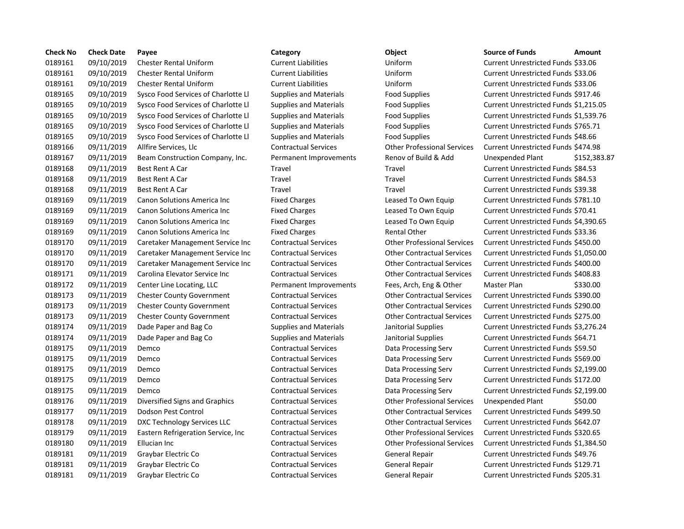| <b>Check No</b> | <b>Check Date</b> | Payee                               | Category                      | Object                             | <b>Source of Funds</b><br>Amount     |
|-----------------|-------------------|-------------------------------------|-------------------------------|------------------------------------|--------------------------------------|
| 0189161         | 09/10/2019        | <b>Chester Rental Uniform</b>       | <b>Current Liabilities</b>    | Uniform                            | Current Unrestricted Funds \$33.06   |
| 0189161         | 09/10/2019        | <b>Chester Rental Uniform</b>       | <b>Current Liabilities</b>    | Uniform                            | Current Unrestricted Funds \$33.06   |
| 0189161         | 09/10/2019        | <b>Chester Rental Uniform</b>       | <b>Current Liabilities</b>    | Uniform                            | Current Unrestricted Funds \$33.06   |
| 0189165         | 09/10/2019        | Sysco Food Services of Charlotte Ll | <b>Supplies and Materials</b> | <b>Food Supplies</b>               | Current Unrestricted Funds \$917.46  |
| 0189165         | 09/10/2019        | Sysco Food Services of Charlotte Ll | <b>Supplies and Materials</b> | <b>Food Supplies</b>               | Current Unrestricted Funds \$1,215.0 |
| 0189165         | 09/10/2019        | Sysco Food Services of Charlotte Ll | <b>Supplies and Materials</b> | <b>Food Supplies</b>               | Current Unrestricted Funds \$1,539.7 |
| 0189165         | 09/10/2019        | Sysco Food Services of Charlotte Ll | <b>Supplies and Materials</b> | <b>Food Supplies</b>               | Current Unrestricted Funds \$765.71  |
| 0189165         | 09/10/2019        | Sysco Food Services of Charlotte Ll | <b>Supplies and Materials</b> | <b>Food Supplies</b>               | Current Unrestricted Funds \$48.66   |
| 0189166         | 09/11/2019        | Allfire Services, Llc               | <b>Contractual Services</b>   | <b>Other Professional Services</b> | Current Unrestricted Funds \$474.98  |
| 0189167         | 09/11/2019        | Beam Construction Company, Inc.     | Permanent Improvements        | Renov of Build & Add               | <b>Unexpended Plant</b><br>\$152,38  |
| 0189168         | 09/11/2019        | <b>Best Rent A Car</b>              | Travel                        | Travel                             | Current Unrestricted Funds \$84.53   |
| 0189168         | 09/11/2019        | Best Rent A Car                     | Travel                        | Travel                             | Current Unrestricted Funds \$84.53   |
| 0189168         | 09/11/2019        | <b>Best Rent A Car</b>              | Travel                        | Travel                             | Current Unrestricted Funds \$39.38   |
| 0189169         | 09/11/2019        | Canon Solutions America Inc         | <b>Fixed Charges</b>          | Leased To Own Equip                | Current Unrestricted Funds \$781.10  |
| 0189169         | 09/11/2019        | Canon Solutions America Inc         | <b>Fixed Charges</b>          | Leased To Own Equip                | Current Unrestricted Funds \$70.41   |
| 0189169         | 09/11/2019        | Canon Solutions America Inc         | <b>Fixed Charges</b>          | Leased To Own Equip                | Current Unrestricted Funds \$4,390.6 |
| 0189169         | 09/11/2019        | <b>Canon Solutions America Inc.</b> | <b>Fixed Charges</b>          | <b>Rental Other</b>                | Current Unrestricted Funds \$33.36   |
| 0189170         | 09/11/2019        | Caretaker Management Service Inc    | <b>Contractual Services</b>   | <b>Other Professional Services</b> | Current Unrestricted Funds \$450.00  |
| 0189170         | 09/11/2019        | Caretaker Management Service Inc    | <b>Contractual Services</b>   | <b>Other Contractual Services</b>  | Current Unrestricted Funds \$1,050.0 |
| 0189170         | 09/11/2019        | Caretaker Management Service Inc    | <b>Contractual Services</b>   | <b>Other Contractual Services</b>  | Current Unrestricted Funds \$400.00  |
| 0189171         | 09/11/2019        | Carolina Elevator Service Inc       | <b>Contractual Services</b>   | <b>Other Contractual Services</b>  | Current Unrestricted Funds \$408.83  |
| 0189172         | 09/11/2019        | Center Line Locating, LLC           | Permanent Improvements        | Fees, Arch, Eng & Other            | Master Plan<br>\$330.00              |
| 0189173         | 09/11/2019        | <b>Chester County Government</b>    | <b>Contractual Services</b>   | <b>Other Contractual Services</b>  | Current Unrestricted Funds \$390.00  |
| 0189173         | 09/11/2019        | <b>Chester County Government</b>    | <b>Contractual Services</b>   | <b>Other Contractual Services</b>  | Current Unrestricted Funds \$290.00  |
| 0189173         | 09/11/2019        | <b>Chester County Government</b>    | <b>Contractual Services</b>   | <b>Other Contractual Services</b>  | Current Unrestricted Funds \$275.00  |
| 0189174         | 09/11/2019        | Dade Paper and Bag Co               | <b>Supplies and Materials</b> | Janitorial Supplies                | Current Unrestricted Funds \$3,276.2 |
| 0189174         | 09/11/2019        | Dade Paper and Bag Co               | <b>Supplies and Materials</b> | Janitorial Supplies                | Current Unrestricted Funds \$64.71   |
| 0189175         | 09/11/2019        | Demco                               | <b>Contractual Services</b>   | Data Processing Serv               | Current Unrestricted Funds \$59.50   |
| 0189175         | 09/11/2019        | Demco                               | <b>Contractual Services</b>   | Data Processing Serv               | Current Unrestricted Funds \$569.00  |
| 0189175         | 09/11/2019        | Demco                               | <b>Contractual Services</b>   | Data Processing Serv               | Current Unrestricted Funds \$2,199.  |
| 0189175         | 09/11/2019        | Demco                               | <b>Contractual Services</b>   | Data Processing Serv               | Current Unrestricted Funds \$172.00  |
| 0189175         | 09/11/2019        | Demco                               | <b>Contractual Services</b>   | Data Processing Serv               | Current Unrestricted Funds \$2,199.  |
| 0189176         | 09/11/2019        | Diversified Signs and Graphics      | <b>Contractual Services</b>   | <b>Other Professional Services</b> | \$50.00<br>Unexpended Plant          |
| 0189177         | 09/11/2019        | Dodson Pest Control                 | <b>Contractual Services</b>   | <b>Other Contractual Services</b>  | Current Unrestricted Funds \$499.50  |
| 0189178         | 09/11/2019        | DXC Technology Services LLC         | <b>Contractual Services</b>   | <b>Other Contractual Services</b>  | Current Unrestricted Funds \$642.07  |
| 0189179         | 09/11/2019        | Eastern Refrigeration Service, Inc. | <b>Contractual Services</b>   | <b>Other Professional Services</b> | Current Unrestricted Funds \$320.65  |
| 0189180         | 09/11/2019        | Ellucian Inc                        | <b>Contractual Services</b>   | <b>Other Professional Services</b> | Current Unrestricted Funds \$1,384.5 |
| 0189181         | 09/11/2019        | Graybar Electric Co                 | <b>Contractual Services</b>   | <b>General Repair</b>              | Current Unrestricted Funds \$49.76   |
| 0189181         | 09/11/2019        | Graybar Electric Co                 | <b>Contractual Services</b>   | <b>General Repair</b>              | Current Unrestricted Funds \$129.71  |
| 0189181         | 09/11/2019        | <b>Gravbar Electric Co</b>          | <b>Contractual Services</b>   | General Repair                     | Current Unrestricted Funds \$205.31  |

# 09/10/2019 Chester Rental Uniform Current Liabilities Uniform Current Unrestricted Funds \$33.06 09/10/2019 Chester Rental Uniform Current Liabilities Uniform Current Unrestricted Funds \$33.06 09/10/2019 Chester Rental Uniform Current Liabilities Uniform Current Unrestricted Funds \$33.06 09/10/2019 Sysco Food Services of Charlotte Ll Supplies and Materials Food Supplies Current Unrestricted Funds \$917.46 Supplies and Materials **Supplies of Charlotte Conditions** Current Unrestricted Funds \$1,215.05 Supplies and Materials **Supplies of Charlotte Containers** Current Unrestricted Funds \$1,539.76 Supplies and Materials **Example Sysco Entity Current Unrestricted Funds \$765.71** Supplies and Materials **Supplies of Charlotte Charlotte Current Unrestricted Funds \$48.66** Supplies Current Unrestricted Funds \$48.66 09/11/2019 Allfire Services, Llc Contractual Services Other Professional Services Current Unrestricted Funds \$474.98 Permanent Improvements Renov of Build & Add Unexpended Plant \$152,383.87 Travel **1288** 1991 Travel **Travel Current Unrestricted Funds \$84.53**  09/11/2019 Best Rent A Car Travel Travel Current Unrestricted Funds \$84.53 09/11/2019 Best Rent A Car Travel Travel Current Unrestricted Funds \$39.38 Fixed Charges **1992 Leased To Own Equip** Current Unrestricted Funds \$781.10 Fixed Charges **1972 Canon Solutions America Inc.** Current Unrestricted Funds \$70.41 Fixed Charges **Canon Clubion Comet Conon Equip** Current Unrestricted Funds \$4,390.65 Fixed Charges The Rental Other Current Unrestricted Funds \$33.36 09/11/2019 Caretaker Management Service Inc Contractual Services Other Professional Services Current Unrestricted Funds \$450.00 09/11/2019 Caretaker Management Service Inc Contractual Services Other Contractual Services Current Unrestricted Funds \$1,050.00 09/11/2019 Caretaker Management Service Inc Contractual Services Other Contractual Services Current Unrestricted Funds \$400.00 09/11/2019 Carolina Elevator Service Inc Contractual Services Other Contractual Services Current Unrestricted Funds \$408.83 Permanent Improvements Fees, Arch, Eng & Other Master Plan \$330.00 09/11/2019 Chester County Government Contractual Services Other Contractual Services Current Unrestricted Funds \$390.00 09/11/2019 Chester County Government Contractual Services Other Contractual Services Current Unrestricted Funds \$290.00 09/11/2019 Chester County Government Contractual Services Other Contractual Services Current Unrestricted Funds \$275.00 09/11/2019 Dade Paper and Bag Co Supplies and Materials Janitorial Supplies Current Unrestricted Funds \$3,276.24 Supplies and Materials **Danitorial Supplies Current Unrestricted Funds \$64.71** Contractual Services **Data Processing Serv** Current Unrestricted Funds \$59.50 09/11/2019 Demco Contractual Services Data Processing Serv Current Unrestricted Funds \$569.00 09/11/2019 Demco Contractual Services Data Processing Serv Current Unrestricted Funds \$2,199.00 09/11/2019 Demco Contractual Services Data Processing Serv Current Unrestricted Funds \$172.00 09/11/2019 Demco Contractual Services Data Processing Serv Current Unrestricted Funds \$2,199.00 09/11/2019 Diversified Signs and Graphics Contractual Services Other Professional Services Unexpended Plant \$50.00 09/11/2019 Dodson Pest Control Contractual Services Other Contractual Services Current Unrestricted Funds \$499.50 09/11/2019 DXC Technology Services LLC Contractual Services Other Contractual Services Current Unrestricted Funds \$642.07 09/11/2019 Eastern Refrigeration Service, Inc Contractual Services Other Professional Services Current Unrestricted Funds \$320.65 09/11/2019 Ellucian Inc Contractual Services Other Professional Services Current Unrestricted Funds \$1,384.50 09/11/2019 Graybar Electric Co Contractual Services General Repair Current Unrestricted Funds \$49.76 Contractual Services **General Repair** Gurrent Unrestricted Funds \$129.71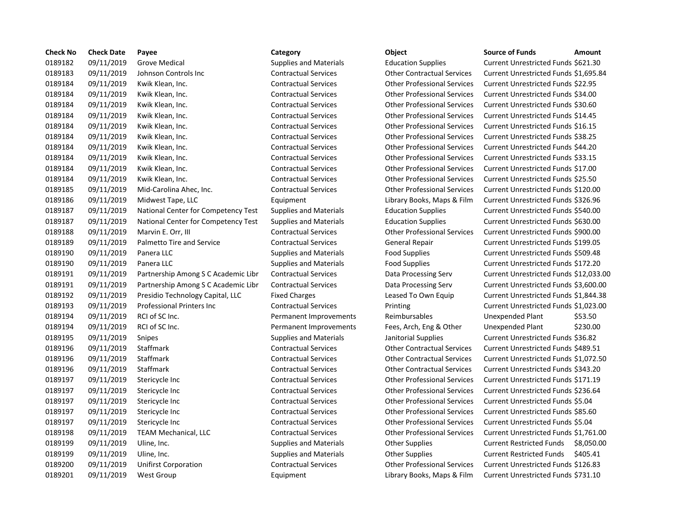| <b>Check No</b> | <b>Check Date</b> | Payee                               | Category                      | Object                             | <b>Source of Funds</b><br>Amount             |
|-----------------|-------------------|-------------------------------------|-------------------------------|------------------------------------|----------------------------------------------|
| 0189182         | 09/11/2019        | <b>Grove Medical</b>                | <b>Supplies and Materials</b> | <b>Education Supplies</b>          | Current Unrestricted Funds \$621.30          |
| 0189183         | 09/11/2019        | Johnson Controls Inc                | <b>Contractual Services</b>   | <b>Other Contractual Services</b>  | Current Unrestricted Funds \$1,695.8         |
| 0189184         | 09/11/2019        | Kwik Klean, Inc.                    | <b>Contractual Services</b>   | <b>Other Professional Services</b> | Current Unrestricted Funds \$22.95           |
| 0189184         | 09/11/2019        | Kwik Klean, Inc.                    | <b>Contractual Services</b>   | <b>Other Professional Services</b> | Current Unrestricted Funds \$34.00           |
| 0189184         | 09/11/2019        | Kwik Klean, Inc.                    | <b>Contractual Services</b>   | <b>Other Professional Services</b> | Current Unrestricted Funds \$30.60           |
| 0189184         | 09/11/2019        | Kwik Klean, Inc.                    | <b>Contractual Services</b>   | <b>Other Professional Services</b> | Current Unrestricted Funds \$14.45           |
| 0189184         | 09/11/2019        | Kwik Klean, Inc.                    | <b>Contractual Services</b>   | <b>Other Professional Services</b> | Current Unrestricted Funds \$16.15           |
| 0189184         | 09/11/2019        | Kwik Klean, Inc.                    | <b>Contractual Services</b>   | <b>Other Professional Services</b> | Current Unrestricted Funds \$38.25           |
| 0189184         | 09/11/2019        | Kwik Klean, Inc.                    | <b>Contractual Services</b>   | <b>Other Professional Services</b> | Current Unrestricted Funds \$44.20           |
| 0189184         | 09/11/2019        | Kwik Klean, Inc.                    | <b>Contractual Services</b>   | <b>Other Professional Services</b> | Current Unrestricted Funds \$33.15           |
| 0189184         | 09/11/2019        | Kwik Klean, Inc.                    | <b>Contractual Services</b>   | <b>Other Professional Services</b> | Current Unrestricted Funds \$17.00           |
| 0189184         | 09/11/2019        | Kwik Klean, Inc.                    | <b>Contractual Services</b>   | <b>Other Professional Services</b> | Current Unrestricted Funds \$25.50           |
| 0189185         | 09/11/2019        | Mid-Carolina Ahec, Inc.             | <b>Contractual Services</b>   | <b>Other Professional Services</b> | Current Unrestricted Funds \$120.00          |
| 0189186         | 09/11/2019        | Midwest Tape, LLC                   | Equipment                     | Library Books, Maps & Film         | Current Unrestricted Funds \$326.96          |
| 0189187         | 09/11/2019        | National Center for Competency Test | <b>Supplies and Materials</b> | <b>Education Supplies</b>          | Current Unrestricted Funds \$540.00          |
| 0189187         | 09/11/2019        | National Center for Competency Test | <b>Supplies and Materials</b> | <b>Education Supplies</b>          | Current Unrestricted Funds \$630.00          |
| 0189188         | 09/11/2019        | Marvin E. Orr, III                  | <b>Contractual Services</b>   | <b>Other Professional Services</b> | Current Unrestricted Funds \$900.00          |
| 0189189         | 09/11/2019        | Palmetto Tire and Service           | <b>Contractual Services</b>   | General Repair                     | Current Unrestricted Funds \$199.05          |
| 0189190         | 09/11/2019        | Panera LLC                          | <b>Supplies and Materials</b> | <b>Food Supplies</b>               | Current Unrestricted Funds \$509.48          |
| 0189190         | 09/11/2019        | Panera LLC                          | <b>Supplies and Materials</b> | <b>Food Supplies</b>               | Current Unrestricted Funds \$172.20          |
| 0189191         | 09/11/2019        | Partnership Among S C Academic Libr | <b>Contractual Services</b>   | Data Processing Serv               | Current Unrestricted Funds \$12,033          |
| 0189191         | 09/11/2019        | Partnership Among S C Academic Libr | <b>Contractual Services</b>   | Data Processing Serv               | Current Unrestricted Funds \$3,600.0         |
| 0189192         | 09/11/2019        | Presidio Technology Capital, LLC    | <b>Fixed Charges</b>          | Leased To Own Equip                | Current Unrestricted Funds \$1,844.3         |
| 0189193         | 09/11/2019        | <b>Professional Printers Inc</b>    | <b>Contractual Services</b>   | Printing                           | Current Unrestricted Funds \$1,023.          |
| 0189194         | 09/11/2019        | RCI of SC Inc.                      | Permanent Improvements        | Reimbursables                      | \$53.50<br>Unexpended Plant                  |
| 0189194         | 09/11/2019        | RCI of SC Inc.                      | Permanent Improvements        | Fees, Arch, Eng & Other            | \$230.00<br>Unexpended Plant                 |
| 0189195         | 09/11/2019        | Snipes                              | <b>Supplies and Materials</b> | Janitorial Supplies                | Current Unrestricted Funds \$36.82           |
| 0189196         | 09/11/2019        | <b>Staffmark</b>                    | <b>Contractual Services</b>   | <b>Other Contractual Services</b>  | Current Unrestricted Funds \$489.51          |
| 0189196         | 09/11/2019        | <b>Staffmark</b>                    | <b>Contractual Services</b>   | <b>Other Contractual Services</b>  | Current Unrestricted Funds \$1,072.5         |
| 0189196         | 09/11/2019        | Staffmark                           | <b>Contractual Services</b>   | <b>Other Contractual Services</b>  | Current Unrestricted Funds \$343.20          |
| 0189197         | 09/11/2019        | Stericycle Inc                      | <b>Contractual Services</b>   | <b>Other Professional Services</b> | Current Unrestricted Funds \$171.19          |
| 0189197         | 09/11/2019        | Stericycle Inc                      | <b>Contractual Services</b>   | <b>Other Professional Services</b> | Current Unrestricted Funds \$236.64          |
| 0189197         | 09/11/2019        | Stericycle Inc                      | <b>Contractual Services</b>   | <b>Other Professional Services</b> | Current Unrestricted Funds \$5.04            |
| 0189197         | 09/11/2019        | Stericycle Inc                      | <b>Contractual Services</b>   | <b>Other Professional Services</b> | Current Unrestricted Funds \$85.60           |
| 0189197         | 09/11/2019        | Stericycle Inc                      | <b>Contractual Services</b>   | <b>Other Professional Services</b> | Current Unrestricted Funds \$5.04            |
| 0189198         | 09/11/2019        | <b>TEAM Mechanical, LLC</b>         | <b>Contractual Services</b>   | <b>Other Professional Services</b> | Current Unrestricted Funds \$1,761.          |
| 0189199         | 09/11/2019        | Uline, Inc.                         | <b>Supplies and Materials</b> | <b>Other Supplies</b>              | <b>Current Restricted Funds</b><br>\$8,050.0 |
| 0189199         | 09/11/2019        | Uline, Inc.                         | <b>Supplies and Materials</b> | <b>Other Supplies</b>              | <b>Current Restricted Funds</b><br>\$405.41  |
| 0189200         | 09/11/2019        | <b>Unifirst Corporation</b>         | <b>Contractual Services</b>   | <b>Other Professional Services</b> | Current Unrestricted Funds \$126.83          |
| 0189201         | 09/11/2019        | West Group                          | Equipment                     | Library Books, Maps & Film         | Current Unrestricted Funds \$731.10          |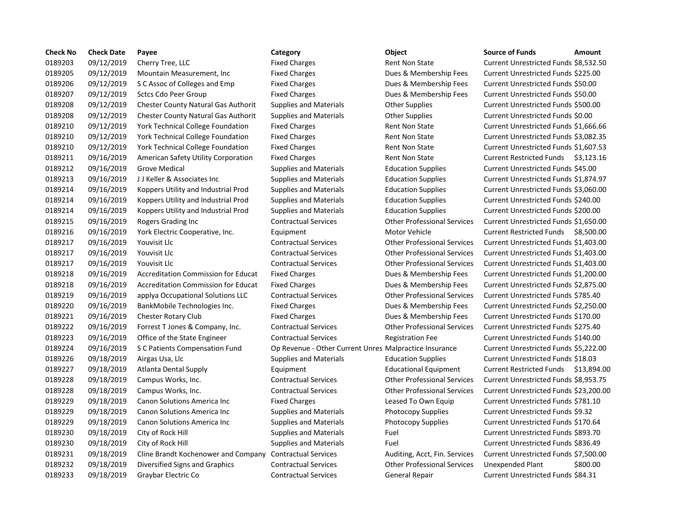| <b>Check No</b> | <b>Check Date</b> | Payee                                      | Category                                               | Object                             | <b>Source of Funds</b>               | Amount    |
|-----------------|-------------------|--------------------------------------------|--------------------------------------------------------|------------------------------------|--------------------------------------|-----------|
| 0189203         | 09/12/2019        | Cherry Tree, LLC                           | <b>Fixed Charges</b>                                   | <b>Rent Non State</b>              | Current Unrestricted Funds \$8,532.5 |           |
| 0189205         | 09/12/2019        | Mountain Measurement, Inc.                 | <b>Fixed Charges</b>                                   | Dues & Membership Fees             | Current Unrestricted Funds \$225.00  |           |
| 0189206         | 09/12/2019        | S C Assoc of Colleges and Emp              | <b>Fixed Charges</b>                                   | Dues & Membership Fees             | Current Unrestricted Funds \$50.00   |           |
| 0189207         | 09/12/2019        | <b>Sctcs Cdo Peer Group</b>                | <b>Fixed Charges</b>                                   | Dues & Membership Fees             | Current Unrestricted Funds \$50.00   |           |
| 0189208         | 09/12/2019        | <b>Chester County Natural Gas Authorit</b> | <b>Supplies and Materials</b>                          | <b>Other Supplies</b>              | Current Unrestricted Funds \$500.00  |           |
| 0189208         | 09/12/2019        | <b>Chester County Natural Gas Authorit</b> | <b>Supplies and Materials</b>                          | <b>Other Supplies</b>              | Current Unrestricted Funds \$0.00    |           |
| 0189210         | 09/12/2019        | York Technical College Foundation          | <b>Fixed Charges</b>                                   | <b>Rent Non State</b>              | Current Unrestricted Funds \$1,666.6 |           |
| 0189210         | 09/12/2019        | York Technical College Foundation          | <b>Fixed Charges</b>                                   | <b>Rent Non State</b>              | Current Unrestricted Funds \$3,082.3 |           |
| 0189210         | 09/12/2019        | <b>York Technical College Foundation</b>   | <b>Fixed Charges</b>                                   | <b>Rent Non State</b>              | Current Unrestricted Funds \$1,607.5 |           |
| 0189211         | 09/16/2019        | American Safety Utility Corporation        | <b>Fixed Charges</b>                                   | <b>Rent Non State</b>              | Current Restricted Funds \$3,123.1   |           |
| 0189212         | 09/16/2019        | Grove Medical                              | <b>Supplies and Materials</b>                          | <b>Education Supplies</b>          | Current Unrestricted Funds \$45.00   |           |
| 0189213         | 09/16/2019        | JJ Keller & Associates Inc                 | <b>Supplies and Materials</b>                          | <b>Education Supplies</b>          | Current Unrestricted Funds \$1,874.9 |           |
| 0189214         | 09/16/2019        | Koppers Utility and Industrial Prod        | <b>Supplies and Materials</b>                          | <b>Education Supplies</b>          | Current Unrestricted Funds \$3,060.0 |           |
| 0189214         | 09/16/2019        | Koppers Utility and Industrial Prod        | Supplies and Materials                                 | <b>Education Supplies</b>          | Current Unrestricted Funds \$240.00  |           |
| 0189214         | 09/16/2019        | Koppers Utility and Industrial Prod        | <b>Supplies and Materials</b>                          | <b>Education Supplies</b>          | Current Unrestricted Funds \$200.00  |           |
| 0189215         | 09/16/2019        | Rogers Grading Inc                         | <b>Contractual Services</b>                            | <b>Other Professional Services</b> | Current Unrestricted Funds \$1,650.0 |           |
| 0189216         | 09/16/2019        | York Electric Cooperative, Inc.            | Equipment                                              | Motor Vehicle                      | <b>Current Restricted Funds</b>      | \$8,500.0 |
| 0189217         | 09/16/2019        | Youvisit Llc                               | <b>Contractual Services</b>                            | <b>Other Professional Services</b> | Current Unrestricted Funds \$1,403.  |           |
| 0189217         | 09/16/2019        | Youvisit Llc                               | <b>Contractual Services</b>                            | <b>Other Professional Services</b> | Current Unrestricted Funds \$1,403.  |           |
| 0189217         | 09/16/2019        | Youvisit Llc                               | <b>Contractual Services</b>                            | <b>Other Professional Services</b> | Current Unrestricted Funds \$1,403.  |           |
| 0189218         | 09/16/2019        | <b>Accreditation Commission for Educat</b> | <b>Fixed Charges</b>                                   | Dues & Membership Fees             | Current Unrestricted Funds \$1,200.  |           |
| 0189218         | 09/16/2019        | <b>Accreditation Commission for Educat</b> | <b>Fixed Charges</b>                                   | Dues & Membership Fees             | Current Unrestricted Funds \$2,875.0 |           |
| 0189219         | 09/16/2019        | applya Occupational Solutions LLC          | <b>Contractual Services</b>                            | <b>Other Professional Services</b> | Current Unrestricted Funds \$785.40  |           |
| 0189220         | 09/16/2019        | BankMobile Technologies Inc.               | <b>Fixed Charges</b>                                   | Dues & Membership Fees             | Current Unrestricted Funds \$2,250.0 |           |
| 0189221         | 09/16/2019        | Chester Rotary Club                        | <b>Fixed Charges</b>                                   | Dues & Membership Fees             | Current Unrestricted Funds \$170.00  |           |
| 0189222         | 09/16/2019        | Forrest T Jones & Company, Inc.            | <b>Contractual Services</b>                            | <b>Other Professional Services</b> | Current Unrestricted Funds \$275.40  |           |
| 0189223         | 09/16/2019        | Office of the State Engineer               | <b>Contractual Services</b>                            | <b>Registration Fee</b>            | Current Unrestricted Funds \$140.00  |           |
| 0189224         | 09/16/2019        | S C Patients Compensation Fund             | Op Revenue - Other Current Unres Malpractice Insurance |                                    | Current Unrestricted Funds \$5,222.0 |           |
| 0189226         | 09/18/2019        | Airgas Usa, Llc                            | <b>Supplies and Materials</b>                          | <b>Education Supplies</b>          | Current Unrestricted Funds \$18.03   |           |
| 0189227         | 09/18/2019        | Atlanta Dental Supply                      | Equipment                                              | <b>Educational Equipment</b>       | <b>Current Restricted Funds</b>      | \$13,894  |
| 0189228         | 09/18/2019        | Campus Works, Inc.                         | <b>Contractual Services</b>                            | <b>Other Professional Services</b> | Current Unrestricted Funds \$8,953.7 |           |
| 0189228         | 09/18/2019        | Campus Works, Inc.                         | <b>Contractual Services</b>                            | <b>Other Professional Services</b> | Current Unrestricted Funds \$23,200  |           |
| 0189229         | 09/18/2019        | Canon Solutions America Inc                | <b>Fixed Charges</b>                                   | Leased To Own Equip                | Current Unrestricted Funds \$781.10  |           |
| 0189229         | 09/18/2019        | Canon Solutions America Inc                | <b>Supplies and Materials</b>                          | Photocopy Supplies                 | Current Unrestricted Funds \$9.32    |           |
| 0189229         | 09/18/2019        | Canon Solutions America Inc                | <b>Supplies and Materials</b>                          | <b>Photocopy Supplies</b>          | Current Unrestricted Funds \$170.64  |           |
| 0189230         | 09/18/2019        | City of Rock Hill                          | <b>Supplies and Materials</b>                          | Fuel                               | Current Unrestricted Funds \$893.70  |           |
| 0189230         | 09/18/2019        | City of Rock Hill                          | Supplies and Materials                                 | Fuel                               | Current Unrestricted Funds \$836.49  |           |
| 0189231         | 09/18/2019        | Cline Brandt Kochenower and Company        | <b>Contractual Services</b>                            | Auditing, Acct, Fin. Services      | Current Unrestricted Funds \$7,500.0 |           |
| 0189232         | 09/18/2019        | Diversified Signs and Graphics             | <b>Contractual Services</b>                            | <b>Other Professional Services</b> | Unexpended Plant                     | \$800.00  |
| 0189233         | 09/18/2019        | Graybar Electric Co                        | <b>Contractual Services</b>                            | General Repair                     | Current Unrestricted Funds \$84.31   |           |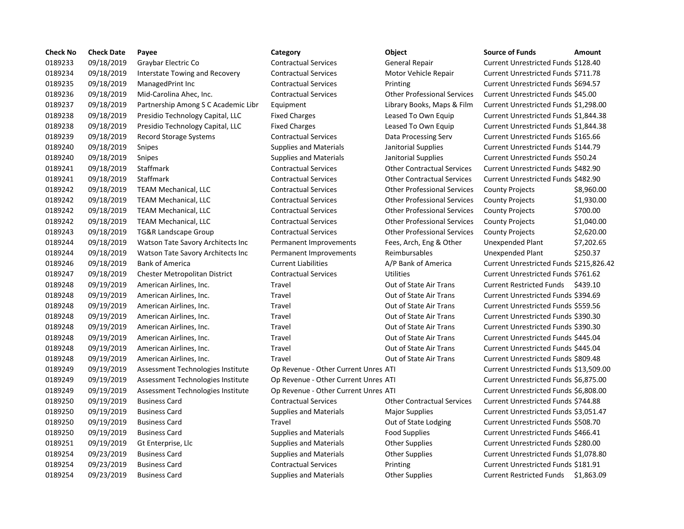| <b>Check No</b>    | <b>Check Date</b>        | Payee                               | Category                             | Object                             | <b>Source of Funds</b>                     | Amount     |
|--------------------|--------------------------|-------------------------------------|--------------------------------------|------------------------------------|--------------------------------------------|------------|
| 0189233<br>0189234 | 09/18/2019<br>09/18/2019 | Graybar Electric Co                 | <b>Contractual Services</b>          | General Repair                     | Current Unrestricted Funds \$128.40        |            |
|                    |                          | Interstate Towing and Recovery      | <b>Contractual Services</b>          | Motor Vehicle Repair               | Current Unrestricted Funds \$711.78        |            |
| 0189235            | 09/18/2019               | ManagedPrint Inc                    | <b>Contractual Services</b>          | Printing                           | Current Unrestricted Funds \$694.57        |            |
| 0189236            | 09/18/2019               | Mid-Carolina Ahec, Inc.             | <b>Contractual Services</b>          | <b>Other Professional Services</b> | Current Unrestricted Funds \$45.00         |            |
| 0189237            | 09/18/2019               | Partnership Among S C Academic Libr | Equipment                            | Library Books, Maps & Film         | Current Unrestricted Funds \$1,298.00      |            |
| 0189238            | 09/18/2019               | Presidio Technology Capital, LLC    | <b>Fixed Charges</b>                 | Leased To Own Equip                | Current Unrestricted Funds \$1,844.38      |            |
| 0189238            | 09/18/2019               | Presidio Technology Capital, LLC    | <b>Fixed Charges</b>                 | Leased To Own Equip                | Current Unrestricted Funds \$1,844.38      |            |
| 0189239            | 09/18/2019               | Record Storage Systems              | <b>Contractual Services</b>          | Data Processing Serv               | Current Unrestricted Funds \$165.66        |            |
| 0189240            | 09/18/2019               | <b>Snipes</b>                       | <b>Supplies and Materials</b>        | Janitorial Supplies                | Current Unrestricted Funds \$144.79        |            |
| 0189240            | 09/18/2019               | Snipes                              | Supplies and Materials               | Janitorial Supplies                | Current Unrestricted Funds \$50.24         |            |
| 0189241            | 09/18/2019               | Staffmark                           | <b>Contractual Services</b>          | <b>Other Contractual Services</b>  | Current Unrestricted Funds \$482.90        |            |
| 0189241            | 09/18/2019               | Staffmark                           | <b>Contractual Services</b>          | <b>Other Contractual Services</b>  | Current Unrestricted Funds \$482.90        |            |
| 0189242            | 09/18/2019               | TEAM Mechanical, LLC                | <b>Contractual Services</b>          | <b>Other Professional Services</b> | <b>County Projects</b>                     | \$8,960.00 |
| 0189242            | 09/18/2019               | <b>TEAM Mechanical, LLC</b>         | <b>Contractual Services</b>          | <b>Other Professional Services</b> | <b>County Projects</b>                     | \$1,930.00 |
| 0189242            | 09/18/2019               | <b>TEAM Mechanical, LLC</b>         | <b>Contractual Services</b>          | <b>Other Professional Services</b> | <b>County Projects</b>                     | \$700.00   |
| 0189242            | 09/18/2019               | <b>TEAM Mechanical, LLC</b>         | <b>Contractual Services</b>          | <b>Other Professional Services</b> | <b>County Projects</b>                     | \$1,040.00 |
| 0189243            | 09/18/2019               | <b>TG&amp;R Landscape Group</b>     | <b>Contractual Services</b>          | <b>Other Professional Services</b> | <b>County Projects</b>                     | \$2,620.00 |
| 0189244            | 09/18/2019               | Watson Tate Savory Architects Inc   | Permanent Improvements               | Fees, Arch, Eng & Other            | Unexpended Plant                           | \$7,202.65 |
| 0189244            | 09/18/2019               | Watson Tate Savory Architects Inc   | Permanent Improvements               | Reimbursables                      | Unexpended Plant                           | \$250.37   |
| 0189246            | 09/18/2019               | <b>Bank of America</b>              | <b>Current Liabilities</b>           | A/P Bank of America                | Current Unrestricted Funds \$215,826.42    |            |
| 0189247            | 09/18/2019               | Chester Metropolitan District       | <b>Contractual Services</b>          | <b>Utilities</b>                   | Current Unrestricted Funds \$761.62        |            |
| 0189248            | 09/19/2019               | American Airlines, Inc.             | Travel                               | Out of State Air Trans             | <b>Current Restricted Funds</b>            | \$439.10   |
| 0189248            | 09/19/2019               | American Airlines, Inc.             | Travel                               | Out of State Air Trans             | Current Unrestricted Funds \$394.69        |            |
| 0189248            | 09/19/2019               | American Airlines, Inc.             | Travel                               | Out of State Air Trans             | Current Unrestricted Funds \$559.56        |            |
| 0189248            | 09/19/2019               | American Airlines, Inc.             | Travel                               | Out of State Air Trans             | Current Unrestricted Funds \$390.30        |            |
| 0189248            | 09/19/2019               | American Airlines, Inc.             | Travel                               | Out of State Air Trans             | Current Unrestricted Funds \$390.30        |            |
| 0189248            | 09/19/2019               | American Airlines, Inc.             | Travel                               | Out of State Air Trans             | Current Unrestricted Funds \$445.04        |            |
| 0189248            | 09/19/2019               | American Airlines, Inc.             | Travel                               | Out of State Air Trans             | Current Unrestricted Funds \$445.04        |            |
| 0189248            | 09/19/2019               | American Airlines, Inc.             | Travel                               | Out of State Air Trans             | <b>Current Unrestricted Funds \$809.48</b> |            |
| 0189249            | 09/19/2019               | Assessment Technologies Institute   | Op Revenue - Other Current Unres ATI |                                    | Current Unrestricted Funds \$13,509.00     |            |
| 0189249            | 09/19/2019               | Assessment Technologies Institute   | Op Revenue - Other Current Unres ATI |                                    | Current Unrestricted Funds \$6,875.00      |            |
| 0189249            | 09/19/2019               | Assessment Technologies Institute   | Op Revenue - Other Current Unres ATI |                                    | Current Unrestricted Funds \$6,808.00      |            |
| 0189250            | 09/19/2019               | <b>Business Card</b>                | <b>Contractual Services</b>          | <b>Other Contractual Services</b>  | Current Unrestricted Funds \$744.88        |            |
| 0189250            | 09/19/2019               | <b>Business Card</b>                | <b>Supplies and Materials</b>        | <b>Major Supplies</b>              | Current Unrestricted Funds \$3,051.47      |            |
| 0189250            | 09/19/2019               | <b>Business Card</b>                | Travel                               | Out of State Lodging               | Current Unrestricted Funds \$508.70        |            |
| 0189250            | 09/19/2019               | <b>Business Card</b>                | Supplies and Materials               | <b>Food Supplies</b>               | Current Unrestricted Funds \$466.41        |            |
| 0189251            | 09/19/2019               | Gt Enterprise, Llc                  | Supplies and Materials               | Other Supplies                     | Current Unrestricted Funds \$280.00        |            |
| 0189254            | 09/23/2019               | <b>Business Card</b>                | <b>Supplies and Materials</b>        | <b>Other Supplies</b>              | Current Unrestricted Funds \$1,078.80      |            |
| 0189254            | 09/23/2019               | <b>Business Card</b>                | <b>Contractual Services</b>          | Printing                           | Current Unrestricted Funds \$181.91        |            |
| 0189254            | 09/23/2019               | <b>Business Card</b>                | <b>Supplies and Materials</b>        | Other Supplies                     | Current Restricted Funds \$1,863.09        |            |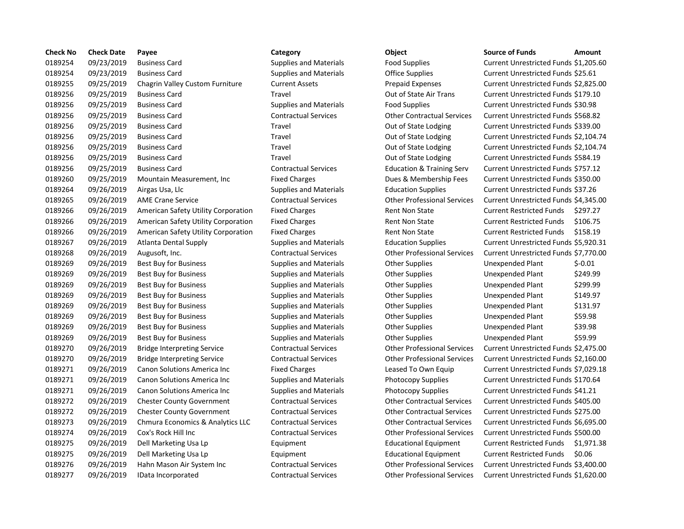| <b>Check No</b> | <b>Check Date</b> | Payee                               | Category                      | Object                               | <b>Source of Funds</b><br>Amount             |
|-----------------|-------------------|-------------------------------------|-------------------------------|--------------------------------------|----------------------------------------------|
| 0189254         | 09/23/2019        | <b>Business Card</b>                | <b>Supplies and Materials</b> | <b>Food Supplies</b>                 | Current Unrestricted Funds \$1,205.6         |
| 0189254         | 09/23/2019        | <b>Business Card</b>                | <b>Supplies and Materials</b> | <b>Office Supplies</b>               | Current Unrestricted Funds \$25.61           |
| 0189255         | 09/25/2019        | Chagrin Valley Custom Furniture     | <b>Current Assets</b>         | Prepaid Expenses                     | Current Unrestricted Funds \$2,825.0         |
| 0189256         | 09/25/2019        | <b>Business Card</b>                | Travel                        | Out of State Air Trans               | Current Unrestricted Funds \$179.10          |
| 0189256         | 09/25/2019        | <b>Business Card</b>                | <b>Supplies and Materials</b> | <b>Food Supplies</b>                 | Current Unrestricted Funds \$30.98           |
| 0189256         | 09/25/2019        | <b>Business Card</b>                | <b>Contractual Services</b>   | <b>Other Contractual Services</b>    | Current Unrestricted Funds \$568.82          |
| 0189256         | 09/25/2019        | <b>Business Card</b>                | Travel                        | Out of State Lodging                 | Current Unrestricted Funds \$339.00          |
| 0189256         | 09/25/2019        | <b>Business Card</b>                | Travel                        | Out of State Lodging                 | Current Unrestricted Funds \$2,104.7         |
| 0189256         | 09/25/2019        | <b>Business Card</b>                | Travel                        | Out of State Lodging                 | Current Unrestricted Funds \$2,104.7         |
| 0189256         | 09/25/2019        | <b>Business Card</b>                | Travel                        | Out of State Lodging                 | Current Unrestricted Funds \$584.19          |
| 0189256         | 09/25/2019        | <b>Business Card</b>                | <b>Contractual Services</b>   | <b>Education &amp; Training Serv</b> | Current Unrestricted Funds \$757.12          |
| 0189260         | 09/25/2019        | Mountain Measurement, Inc.          | <b>Fixed Charges</b>          | Dues & Membership Fees               | Current Unrestricted Funds \$350.00          |
| 0189264         | 09/26/2019        | Airgas Usa, Llc                     | <b>Supplies and Materials</b> | <b>Education Supplies</b>            | Current Unrestricted Funds \$37.26           |
| 0189265         | 09/26/2019        | <b>AME Crane Service</b>            | <b>Contractual Services</b>   | <b>Other Professional Services</b>   | Current Unrestricted Funds \$4,345.0         |
| 0189266         | 09/26/2019        | American Safety Utility Corporation | <b>Fixed Charges</b>          | <b>Rent Non State</b>                | <b>Current Restricted Funds</b><br>\$297.27  |
| 0189266         | 09/26/2019        | American Safety Utility Corporation | <b>Fixed Charges</b>          | <b>Rent Non State</b>                | <b>Current Restricted Funds</b><br>\$106.75  |
| 0189266         | 09/26/2019        | American Safety Utility Corporation | <b>Fixed Charges</b>          | <b>Rent Non State</b>                | \$158.19<br><b>Current Restricted Funds</b>  |
| 0189267         | 09/26/2019        | Atlanta Dental Supply               | <b>Supplies and Materials</b> | <b>Education Supplies</b>            | Current Unrestricted Funds \$5,920.3         |
| 0189268         | 09/26/2019        | Augusoft, Inc.                      | <b>Contractual Services</b>   | <b>Other Professional Services</b>   | Current Unrestricted Funds \$7,770.0         |
| 0189269         | 09/26/2019        | <b>Best Buy for Business</b>        | <b>Supplies and Materials</b> | <b>Other Supplies</b>                | $$-0.01$<br>Unexpended Plant                 |
| 0189269         | 09/26/2019        | <b>Best Buy for Business</b>        | <b>Supplies and Materials</b> | <b>Other Supplies</b>                | \$249.99<br>Unexpended Plant                 |
| 0189269         | 09/26/2019        | Best Buy for Business               | <b>Supplies and Materials</b> | Other Supplies                       | \$299.99<br>Unexpended Plant                 |
| 0189269         | 09/26/2019        | Best Buy for Business               | <b>Supplies and Materials</b> | <b>Other Supplies</b>                | \$149.97<br>Unexpended Plant                 |
| 0189269         | 09/26/2019        | <b>Best Buy for Business</b>        | <b>Supplies and Materials</b> | <b>Other Supplies</b>                | \$131.97<br>Unexpended Plant                 |
| 0189269         | 09/26/2019        | <b>Best Buy for Business</b>        | <b>Supplies and Materials</b> | <b>Other Supplies</b>                | \$59.98<br><b>Unexpended Plant</b>           |
| 0189269         | 09/26/2019        | Best Buy for Business               | <b>Supplies and Materials</b> | <b>Other Supplies</b>                | \$39.98<br>Unexpended Plant                  |
| 0189269         | 09/26/2019        | Best Buy for Business               | <b>Supplies and Materials</b> | Other Supplies                       | \$59.99<br>Unexpended Plant                  |
| 0189270         | 09/26/2019        | <b>Bridge Interpreting Service</b>  | <b>Contractual Services</b>   | <b>Other Professional Services</b>   | Current Unrestricted Funds \$2,475.0         |
| 0189270         | 09/26/2019        | <b>Bridge Interpreting Service</b>  | <b>Contractual Services</b>   | <b>Other Professional Services</b>   | Current Unrestricted Funds \$2,160.0         |
| 0189271         | 09/26/2019        | Canon Solutions America Inc         | <b>Fixed Charges</b>          | Leased To Own Equip                  | Current Unrestricted Funds \$7,029.1         |
| 0189271         | 09/26/2019        | Canon Solutions America Inc         | <b>Supplies and Materials</b> | <b>Photocopy Supplies</b>            | Current Unrestricted Funds \$170.64          |
| 0189271         | 09/26/2019        | <b>Canon Solutions America Inc.</b> | <b>Supplies and Materials</b> | Photocopy Supplies                   | Current Unrestricted Funds \$41.21           |
| 0189272         | 09/26/2019        | <b>Chester County Government</b>    | <b>Contractual Services</b>   | <b>Other Contractual Services</b>    | Current Unrestricted Funds \$405.00          |
| 0189272         | 09/26/2019        | <b>Chester County Government</b>    | <b>Contractual Services</b>   | <b>Other Contractual Services</b>    | Current Unrestricted Funds \$275.00          |
| 0189273         | 09/26/2019        | Chmura Economics & Analytics LLC    | <b>Contractual Services</b>   | <b>Other Contractual Services</b>    | Current Unrestricted Funds \$6,695.0         |
| 0189274         | 09/26/2019        | Cox's Rock Hill Inc                 | <b>Contractual Services</b>   | <b>Other Professional Services</b>   | Current Unrestricted Funds \$500.00          |
| 0189275         | 09/26/2019        | Dell Marketing Usa Lp               | Equipment                     | <b>Educational Equipment</b>         | <b>Current Restricted Funds</b><br>\$1,971.3 |
| 0189275         | 09/26/2019        | Dell Marketing Usa Lp               | Equipment                     | <b>Educational Equipment</b>         | <b>Current Restricted Funds</b><br>\$0.06    |
| 0189276         | 09/26/2019        | Hahn Mason Air System Inc           | <b>Contractual Services</b>   | <b>Other Professional Services</b>   | Current Unrestricted Funds \$3,400.0         |
| 0189277         | 09/26/2019        | IData Incorporated                  | <b>Contractual Services</b>   | <b>Other Professional Services</b>   | Current Unrestricted Funds \$1,620.0         |

# 0189254 09/23/2019 Business Card Supplies and Materials Food Supplies Current Unrestricted Funds \$1,205.60 Supplies and Materials **Office Supplies Current Unrestricted Funds \$25.61** 0189255 09/25/2019 Chagrin Valley Custom Furniture Current Assets Prepaid Expenses Current Unrestricted Funds \$2,825.00 0189256 09/25/2019 Business Card Travel Out of State Air Trans Current Unrestricted Funds \$179.10 0189256 09/25/2019 Business Card Supplies and Materials Food Supplies Current Unrestricted Funds \$30.98 0189256 09/25/2019 Business Card Contractual Services Other Contractual Services Current Unrestricted Funds \$568.82 Travel **Example 2018** Out of State Lodging Current Unrestricted Funds \$339.00 Travel **2026** Out of State Lodging Current Unrestricted Funds \$2,104.74 Travel **2026** Out of State Lodging Current Unrestricted Funds \$2,104.74 Travel **2022** 2018 Out of State Lodging Current Unrestricted Funds \$584.19 0189256 09/25/2019 Business Card Contractual Services Education & Training Serv Current Unrestricted Funds \$757.12 Fixed Charges **2008** Dues & Membership Fees Current Unrestricted Funds \$350.00 0189264 09/26/2019 Airgas Usa, Llc Supplies and Materials Education Supplies Current Unrestricted Funds \$37.26 0189265 09/26/2019 AME Crane Service Contractual Services Other Professional Services Current Unrestricted Funds \$4,345.00 Fixed Charges **Carry American Safety Corporation Fixed Current Restricted Funds \$297.27** Fixed Charges **2008** Rent Non State Current Restricted Funds \$106.75 Fixed Charges **2018 Rent Non State** Current Restricted Funds \$158.19 0189267 09/26/2019 Atlanta Dental Supply Supplies and Materials Education Supplies Current Unrestricted Funds \$5,920.31 0189268 09/26/2019 Augusoft, Inc. Contractual Services Other Professional Services Current Unrestricted Funds \$7,770.00 Supplies and Materials **Other Supplies Buy for Business Supplies** S-0.01 0189269 09/26/2019 Best Buy for Business Supplies and Materials Other Supplies Unexpended Plant \$249.99 Supplies and Materials **Cultum Business Contemplies** Supplies **Same Supplies** Business Supplies Supplies Supplies 0189269 09/26/2019 Best Buy for Business Supplies and Materials Other Supplies Unexpended Plant \$149.97 0189269 09/26/2019 Best Buy for Business Supplies and Materials Other Supplies Unexpended Plant \$131.97 Supplies and Materials **Other Supplies Communished Business Supplies** S59.98 Supplies and Materials **Other Supplies Communished Business Supplies** S39.98 0189269 09/26/2019 Best Buy for Business Supplies and Materials Other Supplies Unexpended Plant \$59.99 0189270 09/26/2019 Bridge Interpreting Service Contractual Services Other Professional Services Current Unrestricted Funds \$2,475.00 0189270 09/26/2019 Bridge Interpreting Service Contractual Services Other Professional Services Current Unrestricted Funds \$2,160.00 Fixed Charges **Canon Canon Solutions America** Leased To Own Equip Current Unrestricted Funds \$7,029.18 Supplies and Materials **Example 2018** Photocopy Supplies Current Unrestricted Funds \$170.64 Supplies and Materials **Example 2018** Photocopy Supplies Current Unrestricted Funds \$41.21 0189272 09/26/2019 Chester County Government Contractual Services Other Contractual Services Current Unrestricted Funds \$405.00 0189272 09/26/2019 Chester County Government Contractual Services Other Contractual Services Current Unrestricted Funds \$275.00 0189273 09/26/2019 Chmura Economics & Analytics LLC Contractual Services Other Contractual Services Current Unrestricted Funds \$6,695.00 0189274 09/26/2019 Cox's Rock Hill Inc Contractual Services Other Professional Services Current Unrestricted Funds \$500.00 0189275 09/26/2019 Dell Marketing Usa Lp Equipment Educational Equipment Current Restricted Funds \$1,971.38 0189275 09/26/2019 Dell Marketing Usa Lp Equipment Educational Equipment Current Restricted Funds \$0.06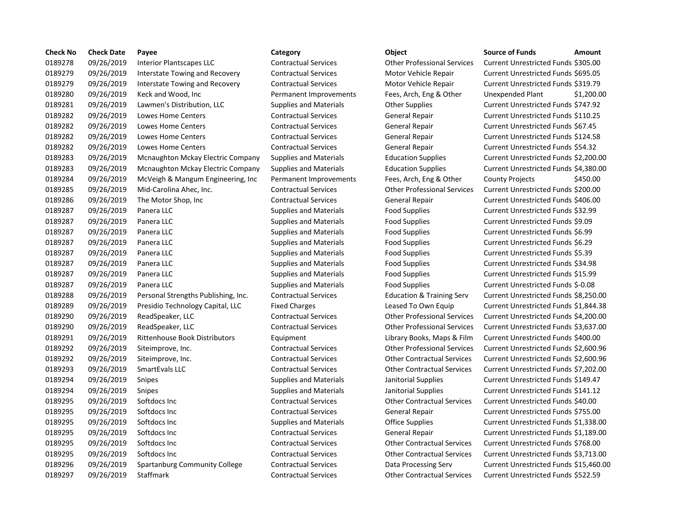| <b>Check No</b> | <b>Check Date</b> | Payee                                | Category                      | Object                               | <b>Source of Funds</b><br>Amount     |
|-----------------|-------------------|--------------------------------------|-------------------------------|--------------------------------------|--------------------------------------|
| 0189278         | 09/26/2019        | Interior Plantscapes LLC             | <b>Contractual Services</b>   | <b>Other Professional Services</b>   | Current Unrestricted Funds \$305.00  |
| 0189279         | 09/26/2019        | Interstate Towing and Recovery       | <b>Contractual Services</b>   | Motor Vehicle Repair                 | Current Unrestricted Funds \$695.05  |
| 0189279         | 09/26/2019        | Interstate Towing and Recovery       | <b>Contractual Services</b>   | Motor Vehicle Repair                 | Current Unrestricted Funds \$319.79  |
| 0189280         | 09/26/2019        | Keck and Wood, Inc.                  | Permanent Improvements        | Fees, Arch, Eng & Other              | Unexpended Plant<br>\$1,200.0        |
| 0189281         | 09/26/2019        | Lawmen's Distribution, LLC           | <b>Supplies and Materials</b> | <b>Other Supplies</b>                | Current Unrestricted Funds \$747.92  |
| 0189282         | 09/26/2019        | Lowes Home Centers                   | <b>Contractual Services</b>   | <b>General Repair</b>                | Current Unrestricted Funds \$110.25  |
| 0189282         | 09/26/2019        | Lowes Home Centers                   | <b>Contractual Services</b>   | <b>General Repair</b>                | Current Unrestricted Funds \$67.45   |
| 0189282         | 09/26/2019        | Lowes Home Centers                   | <b>Contractual Services</b>   | General Repair                       | Current Unrestricted Funds \$124.58  |
| 0189282         | 09/26/2019        | Lowes Home Centers                   | <b>Contractual Services</b>   | General Repair                       | Current Unrestricted Funds \$54.32   |
| 0189283         | 09/26/2019        | Mcnaughton Mckay Electric Company    | <b>Supplies and Materials</b> | <b>Education Supplies</b>            | Current Unrestricted Funds \$2,200.0 |
| 0189283         | 09/26/2019        | Mcnaughton Mckay Electric Company    | <b>Supplies and Materials</b> | <b>Education Supplies</b>            | Current Unrestricted Funds \$4,380.0 |
| 0189284         | 09/26/2019        | McVeigh & Mangum Engineering, Inc.   | Permanent Improvements        | Fees, Arch, Eng & Other              | <b>County Projects</b><br>\$450.00   |
| 0189285         | 09/26/2019        | Mid-Carolina Ahec, Inc.              | <b>Contractual Services</b>   | <b>Other Professional Services</b>   | Current Unrestricted Funds \$200.00  |
| 0189286         | 09/26/2019        | The Motor Shop, Inc                  | <b>Contractual Services</b>   | <b>General Repair</b>                | Current Unrestricted Funds \$406.00  |
| 0189287         | 09/26/2019        | Panera LLC                           | <b>Supplies and Materials</b> | <b>Food Supplies</b>                 | Current Unrestricted Funds \$32.99   |
| 0189287         | 09/26/2019        | Panera LLC                           | <b>Supplies and Materials</b> | Food Supplies                        | Current Unrestricted Funds \$9.09    |
| 0189287         | 09/26/2019        | Panera LLC                           | <b>Supplies and Materials</b> | <b>Food Supplies</b>                 | Current Unrestricted Funds \$6.99    |
| 0189287         | 09/26/2019        | Panera LLC                           | <b>Supplies and Materials</b> | <b>Food Supplies</b>                 | Current Unrestricted Funds \$6.29    |
| 0189287         | 09/26/2019        | Panera LLC                           | <b>Supplies and Materials</b> | Food Supplies                        | Current Unrestricted Funds \$5.39    |
| 0189287         | 09/26/2019        | Panera LLC                           | <b>Supplies and Materials</b> | <b>Food Supplies</b>                 | Current Unrestricted Funds \$34.98   |
| 0189287         | 09/26/2019        | Panera LLC                           | <b>Supplies and Materials</b> | <b>Food Supplies</b>                 | Current Unrestricted Funds \$15.99   |
| 0189287         | 09/26/2019        | Panera LLC                           | <b>Supplies and Materials</b> | <b>Food Supplies</b>                 | Current Unrestricted Funds \$-0.08   |
| 0189288         | 09/26/2019        | Personal Strengths Publishing, Inc.  | <b>Contractual Services</b>   | <b>Education &amp; Training Serv</b> | Current Unrestricted Funds \$8,250.0 |
| 0189289         | 09/26/2019        | Presidio Technology Capital, LLC     | <b>Fixed Charges</b>          | Leased To Own Equip                  | Current Unrestricted Funds \$1,844.3 |
| 0189290         | 09/26/2019        | ReadSpeaker, LLC                     | <b>Contractual Services</b>   | <b>Other Professional Services</b>   | Current Unrestricted Funds \$4,200.0 |
| 0189290         | 09/26/2019        | ReadSpeaker, LLC                     | <b>Contractual Services</b>   | <b>Other Professional Services</b>   | Current Unrestricted Funds \$3,637.0 |
| 0189291         | 09/26/2019        | <b>Rittenhouse Book Distributors</b> | Equipment                     | Library Books, Maps & Film           | Current Unrestricted Funds \$400.00  |
| 0189292         | 09/26/2019        | Siteimprove, Inc.                    | <b>Contractual Services</b>   | <b>Other Professional Services</b>   | Current Unrestricted Funds \$2,600.9 |
| 0189292         | 09/26/2019        | Siteimprove, Inc.                    | <b>Contractual Services</b>   | <b>Other Contractual Services</b>    | Current Unrestricted Funds \$2,600.9 |
| 0189293         | 09/26/2019        | SmartEvals LLC                       | <b>Contractual Services</b>   | <b>Other Contractual Services</b>    | Current Unrestricted Funds \$7,202.  |
| 0189294         | 09/26/2019        | Snipes                               | <b>Supplies and Materials</b> | Janitorial Supplies                  | Current Unrestricted Funds \$149.47  |
| 0189294         | 09/26/2019        | Snipes                               | <b>Supplies and Materials</b> | Janitorial Supplies                  | Current Unrestricted Funds \$141.12  |
| 0189295         | 09/26/2019        | Softdocs Inc                         | <b>Contractual Services</b>   | <b>Other Contractual Services</b>    | Current Unrestricted Funds \$40.00   |
| 0189295         | 09/26/2019        | Softdocs Inc                         | <b>Contractual Services</b>   | <b>General Repair</b>                | Current Unrestricted Funds \$755.00  |
| 0189295         | 09/26/2019        | Softdocs Inc                         | <b>Supplies and Materials</b> | <b>Office Supplies</b>               | Current Unrestricted Funds \$1,338.0 |
| 0189295         | 09/26/2019        | Softdocs Inc                         | <b>Contractual Services</b>   | General Repair                       | Current Unrestricted Funds \$1,189.0 |
| 0189295         | 09/26/2019        | Softdocs Inc                         | <b>Contractual Services</b>   | <b>Other Contractual Services</b>    | Current Unrestricted Funds \$768.00  |
| 0189295         | 09/26/2019        | Softdocs Inc                         | <b>Contractual Services</b>   | <b>Other Contractual Services</b>    | Current Unrestricted Funds \$3,713.0 |
| 0189296         | 09/26/2019        | Spartanburg Community College        | <b>Contractual Services</b>   | Data Processing Serv                 | Current Unrestricted Funds \$15,460  |
| 0189297         | 09/26/2019        | Staffmark                            | <b>Contractual Services</b>   | <b>Other Contractual Services</b>    | Current Unrestricted Funds \$522.59  |

### ntractual Services Thankscapes Current Unterstricted Funds \$305.00 ntractual Services **Interstate Towing And Recovery Contractual Services Motor Vehicle Repair Current Unrestricted Funds \$695.05** ntractual Services **1992 Interstate Towing And Recovery Contractual Services Motor Motor Vehicle Repair Current Unrestricted Funds \$319.79** 018920.00 rmanent Improvements Fees, Arch, Eng & Other Unexpended Plant \$1,200.00 oplies and Materials **Calculation, Lawmen's Current Unrestricted Funds \$747.92** ntractual Services **Contractual Seneral Repair** Current Unrestricted Funds \$110.25 ntractual Services **Contractual Services** General Repair Current Unrestricted Funds \$67.45 ntractual Services **Contractual Seneral Repair** Current Unrestricted Funds \$124.58 ntractual Services **Canters General Repair** Current Unrestricted Funds \$54.32 oplies and Materials **Electric Company Supplies Current Unrestricted Funds \$2,200.00** oplies and Materials **Education Supplies** Current Unrestricted Funds \$4,380.00 manent Improvements Fees, Arch, Eng & Other County Projects \$450.00 ntractual Services **1976** Other Professional Services Current Unrestricted Funds \$200.00 ntractual Services **1978** General Repair **Current Unrestricted Funds \$406.00** 0189287 09/26/2019 Panera LLC Supplies and Materials Food Supplies Current Unrestricted Funds \$32.99 oplies and Materials **Food Supplies Current Unrestricted Funds** \$9.09 oplies and Materials **EXEC SUPPLIES** Food Supplies Current Unrestricted Funds \$6.99 oplies and Materials **EXEC SUPPLIES** Food Supplies Current Unrestricted Funds \$6.29 oplies and Materials **Example Supplies** Food Supplies Current Unrestricted Funds \$5.39 oplies and Materials **Example System Current Unrestricted Funds \$34.98** Current Unrestricted Funds \$34.98 oplies and Materials **Example Supplies** Food Supplies Current Unrestricted Funds \$15.99 oplies and Materials **Example Supplies** Food Supplies Current Unrestricted Funds \$-0.08 ntractual Services **Channel Strengths Publishing** Serv Current Unrestricted Funds \$8,250.00 ed Charges **Capital, Charges Capital, Leased To Own Equip Current Unrestricted Funds \$1,844.38** ntractual Services **Contractual Services** Current Unrestricted Funds \$4,200.00 ntractual Services **Contractual Services** Current Unrestricted Funds \$3,637.00 dipment **12019 Library Books, Maps & Film Current Unrestricted Funds \$400.00** ntractual Services **Sitemprove, Inc. Contractual Services** Current Unrestricted Funds \$2,600.96 ntractual Services **Sitemprove, Inc. Contractual Services** Current Unrestricted Funds \$2,600.96 ntractual Services **Contractual Services** Current Unrestricted Funds \$7,202.00 0189294 09/26/2019 Snipes Supplies and Materials Janitorial Supplies Current Unrestricted Funds \$149.47 oplies and Materials **Dependies** Janitorial Supplies Current Unrestricted Funds \$141.12 ntractual Services **Contractual Services** Current Unrestricted Funds \$40.00 ntractual Services **1978** General Repair **Current Unrestricted Funds \$755.00** oplies and Materials **Contains Containers Inc.** Current Unrestricted Funds \$1,338.00 ntractual Services **1978 Contractual Services** General Repair Current Unrestricted Funds \$1,189.00 ntractual Services **Contractual Services** Current Unrestricted Funds \$768.00 ntractual Services **Contractual Services** Current Unrestricted Funds \$3.713.00 01.0313 ntractual Services Community Community Community Current Unrestricted Funds \$15,460.00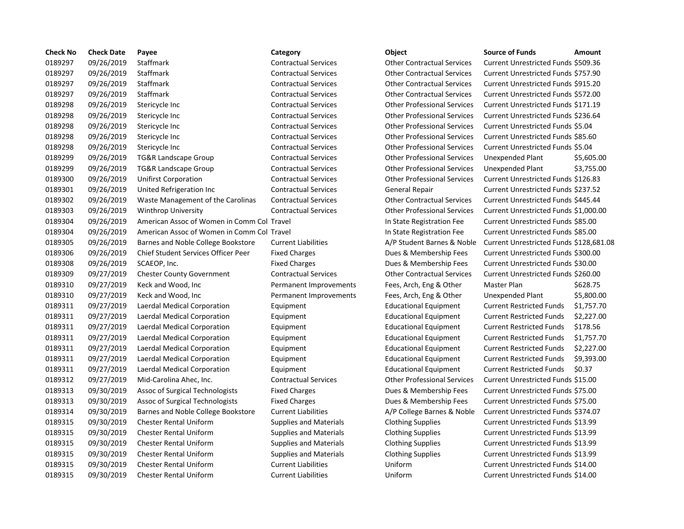| <b>Check No</b> | <b>Check Date</b> | Payee                                      | Category                      | Object                             | <b>Source of Funds</b>                     | Amount    |
|-----------------|-------------------|--------------------------------------------|-------------------------------|------------------------------------|--------------------------------------------|-----------|
| 0189297         | 09/26/2019        | Staffmark                                  | <b>Contractual Services</b>   | <b>Other Contractual Services</b>  | Current Unrestricted Funds \$509.36        |           |
| 0189297         | 09/26/2019        | Staffmark                                  | <b>Contractual Services</b>   | <b>Other Contractual Services</b>  | Current Unrestricted Funds \$757.90        |           |
| 0189297         | 09/26/2019        | Staffmark                                  | <b>Contractual Services</b>   | <b>Other Contractual Services</b>  | Current Unrestricted Funds \$915.20        |           |
| 0189297         | 09/26/2019        | Staffmark                                  | <b>Contractual Services</b>   | <b>Other Contractual Services</b>  | Current Unrestricted Funds \$572.00        |           |
| 0189298         | 09/26/2019        | Stericycle Inc                             | <b>Contractual Services</b>   | <b>Other Professional Services</b> | Current Unrestricted Funds \$171.19        |           |
| 0189298         | 09/26/2019        | Stericycle Inc                             | <b>Contractual Services</b>   | <b>Other Professional Services</b> | Current Unrestricted Funds \$236.64        |           |
| 0189298         | 09/26/2019        | Stericycle Inc                             | <b>Contractual Services</b>   | <b>Other Professional Services</b> | Current Unrestricted Funds \$5.04          |           |
| 0189298         | 09/26/2019        | Stericycle Inc                             | <b>Contractual Services</b>   | <b>Other Professional Services</b> | Current Unrestricted Funds \$85.60         |           |
| 0189298         | 09/26/2019        | Stericycle Inc                             | <b>Contractual Services</b>   | <b>Other Professional Services</b> | Current Unrestricted Funds \$5.04          |           |
| 0189299         | 09/26/2019        | TG&R Landscape Group                       | <b>Contractual Services</b>   | <b>Other Professional Services</b> | Unexpended Plant                           | \$5,605.0 |
| 0189299         | 09/26/2019        | <b>TG&amp;R Landscape Group</b>            | <b>Contractual Services</b>   | <b>Other Professional Services</b> | Unexpended Plant                           | \$3,755.0 |
| 0189300         | 09/26/2019        | <b>Unifirst Corporation</b>                | <b>Contractual Services</b>   | <b>Other Professional Services</b> | Current Unrestricted Funds \$126.83        |           |
| 0189301         | 09/26/2019        | United Refrigeration Inc                   | <b>Contractual Services</b>   | <b>General Repair</b>              | <b>Current Unrestricted Funds \$237.52</b> |           |
| 0189302         | 09/26/2019        | Waste Management of the Carolinas          | <b>Contractual Services</b>   | <b>Other Contractual Services</b>  | Current Unrestricted Funds \$445.44        |           |
| 0189303         | 09/26/2019        | <b>Winthrop University</b>                 | <b>Contractual Services</b>   | <b>Other Professional Services</b> | Current Unrestricted Funds \$1,000.0       |           |
| 0189304         | 09/26/2019        | American Assoc of Women in Comm Col Travel |                               | In State Registration Fee          | Current Unrestricted Funds \$85.00         |           |
| 0189304         | 09/26/2019        | American Assoc of Women in Comm Col Travel |                               | In State Registration Fee          | Current Unrestricted Funds \$85.00         |           |
| 0189305         | 09/26/2019        | Barnes and Noble College Bookstore         | <b>Current Liabilities</b>    | A/P Student Barnes & Noble         | Current Unrestricted Funds \$128,68        |           |
| 0189306         | 09/26/2019        | Chief Student Services Officer Peer        | <b>Fixed Charges</b>          | Dues & Membership Fees             | Current Unrestricted Funds \$300.00        |           |
| 0189308         | 09/26/2019        | SCAEOP, Inc.                               | <b>Fixed Charges</b>          | Dues & Membership Fees             | Current Unrestricted Funds \$30.00         |           |
| 0189309         | 09/27/2019        | <b>Chester County Government</b>           | <b>Contractual Services</b>   | <b>Other Contractual Services</b>  | Current Unrestricted Funds \$260.00        |           |
| 0189310         | 09/27/2019        | Keck and Wood, Inc.                        | Permanent Improvements        | Fees, Arch, Eng & Other            | Master Plan                                | \$628.75  |
| 0189310         | 09/27/2019        | Keck and Wood, Inc                         | Permanent Improvements        | Fees, Arch, Eng & Other            | <b>Unexpended Plant</b>                    | \$5,800.0 |
| 0189311         | 09/27/2019        | Laerdal Medical Corporation                | Equipment                     | <b>Educational Equipment</b>       | <b>Current Restricted Funds</b>            | \$1,757.7 |
| 0189311         | 09/27/2019        | Laerdal Medical Corporation                | Equipment                     | <b>Educational Equipment</b>       | <b>Current Restricted Funds</b>            | \$2,227.0 |
| 0189311         | 09/27/2019        | Laerdal Medical Corporation                | Equipment                     | <b>Educational Equipment</b>       | <b>Current Restricted Funds</b>            | \$178.56  |
| 0189311         | 09/27/2019        | Laerdal Medical Corporation                | Equipment                     | <b>Educational Equipment</b>       | <b>Current Restricted Funds</b>            | \$1,757.7 |
| 0189311         | 09/27/2019        | Laerdal Medical Corporation                | Equipment                     | <b>Educational Equipment</b>       | <b>Current Restricted Funds</b>            | \$2,227.0 |
| 0189311         | 09/27/2019        | Laerdal Medical Corporation                | Equipment                     | <b>Educational Equipment</b>       | <b>Current Restricted Funds</b>            | \$9,393.0 |
| 0189311         | 09/27/2019        | Laerdal Medical Corporation                | Equipment                     | <b>Educational Equipment</b>       | <b>Current Restricted Funds</b>            | \$0.37    |
| 0189312         | 09/27/2019        | Mid-Carolina Ahec, Inc.                    | <b>Contractual Services</b>   | <b>Other Professional Services</b> | Current Unrestricted Funds \$15.00         |           |
| 0189313         | 09/30/2019        | Assoc of Surgical Technologists            | <b>Fixed Charges</b>          | Dues & Membership Fees             | Current Unrestricted Funds \$75.00         |           |
| 0189313         | 09/30/2019        | Assoc of Surgical Technologists            | <b>Fixed Charges</b>          | Dues & Membership Fees             | <b>Current Unrestricted Funds \$75.00</b>  |           |
| 0189314         | 09/30/2019        | Barnes and Noble College Bookstore         | <b>Current Liabilities</b>    | A/P College Barnes & Noble         | Current Unrestricted Funds \$374.07        |           |
| 0189315         | 09/30/2019        | <b>Chester Rental Uniform</b>              | <b>Supplies and Materials</b> | <b>Clothing Supplies</b>           | Current Unrestricted Funds \$13.99         |           |
| 0189315         | 09/30/2019        | <b>Chester Rental Uniform</b>              | <b>Supplies and Materials</b> | <b>Clothing Supplies</b>           | Current Unrestricted Funds \$13.99         |           |
| 0189315         | 09/30/2019        | <b>Chester Rental Uniform</b>              | <b>Supplies and Materials</b> | <b>Clothing Supplies</b>           | Current Unrestricted Funds \$13.99         |           |
| 0189315         | 09/30/2019        | <b>Chester Rental Uniform</b>              | <b>Supplies and Materials</b> | <b>Clothing Supplies</b>           | Current Unrestricted Funds \$13.99         |           |
| 0189315         | 09/30/2019        | <b>Chester Rental Uniform</b>              | <b>Current Liabilities</b>    | Uniform                            | Current Unrestricted Funds \$14.00         |           |
| 0189315         | 09/30/2019        | <b>Chester Rental Uniform</b>              | <b>Current Liabilities</b>    | Uniform                            | Current Unrestricted Funds \$14.00         |           |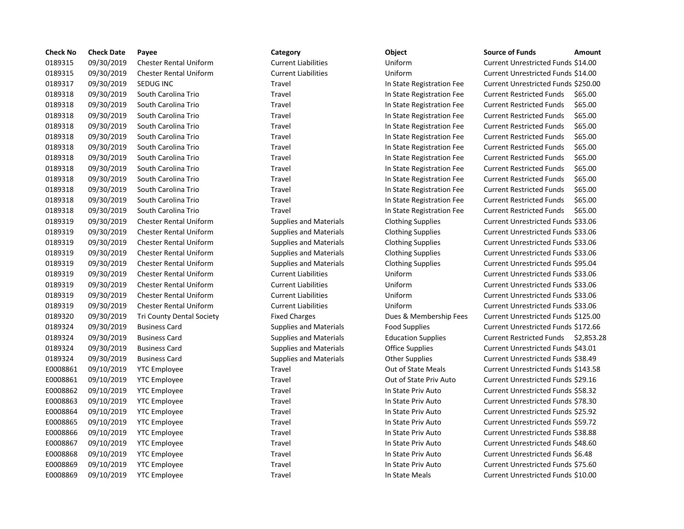| <b>Check No</b> | <b>Check Date</b> | Payee                         | Category                      | Object                    | <b>Source of Funds</b><br>Amount           |
|-----------------|-------------------|-------------------------------|-------------------------------|---------------------------|--------------------------------------------|
| 0189315         | 09/30/2019        | <b>Chester Rental Uniform</b> | <b>Current Liabilities</b>    | Uniform                   | Current Unrestricted Funds \$14.00         |
| 0189315         | 09/30/2019        | <b>Chester Rental Uniform</b> | <b>Current Liabilities</b>    | Uniform                   | Current Unrestricted Funds \$14.00         |
| 0189317         | 09/30/2019        | SEDUG INC                     | Travel                        | In State Registration Fee | Current Unrestricted Funds \$250.00        |
| 0189318         | 09/30/2019        | South Carolina Trio           | Travel                        | In State Registration Fee | <b>Current Restricted Funds</b><br>\$65.00 |
| 0189318         | 09/30/2019        | South Carolina Trio           | Travel                        | In State Registration Fee | \$65.00<br><b>Current Restricted Funds</b> |
| 0189318         | 09/30/2019        | South Carolina Trio           | Travel                        | In State Registration Fee | \$65.00<br><b>Current Restricted Funds</b> |
| 0189318         | 09/30/2019        | South Carolina Trio           | Travel                        | In State Registration Fee | \$65.00<br><b>Current Restricted Funds</b> |
| 0189318         | 09/30/2019        | South Carolina Trio           | Travel                        | In State Registration Fee | <b>Current Restricted Funds</b><br>\$65.00 |
| 0189318         | 09/30/2019        | South Carolina Trio           | Travel                        | In State Registration Fee | <b>Current Restricted Funds</b><br>\$65.00 |
| 0189318         | 09/30/2019        | South Carolina Trio           | Travel                        | In State Registration Fee | \$65.00<br><b>Current Restricted Funds</b> |
| 0189318         | 09/30/2019        | South Carolina Trio           | Travel                        | In State Registration Fee | \$65.00<br><b>Current Restricted Funds</b> |
| 0189318         | 09/30/2019        | South Carolina Trio           | Travel                        | In State Registration Fee | \$65.00<br><b>Current Restricted Funds</b> |
| 0189318         | 09/30/2019        | South Carolina Trio           | Travel                        | In State Registration Fee | <b>Current Restricted Funds</b><br>\$65.00 |
| 0189318         | 09/30/2019        | South Carolina Trio           | Travel                        | In State Registration Fee | \$65.00<br><b>Current Restricted Funds</b> |
| 0189318         | 09/30/2019        | South Carolina Trio           | Travel                        | In State Registration Fee | <b>Current Restricted Funds</b><br>\$65.00 |
| 0189319         | 09/30/2019        | <b>Chester Rental Uniform</b> | <b>Supplies and Materials</b> | <b>Clothing Supplies</b>  | Current Unrestricted Funds \$33.06         |
| 0189319         | 09/30/2019        | <b>Chester Rental Uniform</b> | <b>Supplies and Materials</b> | <b>Clothing Supplies</b>  | <b>Current Unrestricted Funds \$33.06</b>  |
| 0189319         | 09/30/2019        | <b>Chester Rental Uniform</b> | <b>Supplies and Materials</b> | <b>Clothing Supplies</b>  | Current Unrestricted Funds \$33.06         |
| 0189319         | 09/30/2019        | <b>Chester Rental Uniform</b> | <b>Supplies and Materials</b> | <b>Clothing Supplies</b>  | Current Unrestricted Funds \$33.06         |
| 0189319         | 09/30/2019        | <b>Chester Rental Uniform</b> | <b>Supplies and Materials</b> | <b>Clothing Supplies</b>  | Current Unrestricted Funds \$95.04         |
| 0189319         | 09/30/2019        | <b>Chester Rental Uniform</b> | <b>Current Liabilities</b>    | Uniform                   | <b>Current Unrestricted Funds \$33.06</b>  |
| 0189319         | 09/30/2019        | <b>Chester Rental Uniform</b> | <b>Current Liabilities</b>    | Uniform                   | Current Unrestricted Funds \$33.06         |
| 0189319         | 09/30/2019        | <b>Chester Rental Uniform</b> | <b>Current Liabilities</b>    | Uniform                   | Current Unrestricted Funds \$33.06         |
| 0189319         | 09/30/2019        | <b>Chester Rental Uniform</b> | <b>Current Liabilities</b>    | Uniform                   | Current Unrestricted Funds \$33.06         |
| 0189320         | 09/30/2019        | Tri County Dental Society     | <b>Fixed Charges</b>          | Dues & Membership Fees    | Current Unrestricted Funds \$125.00        |
| 0189324         | 09/30/2019        | <b>Business Card</b>          | <b>Supplies and Materials</b> | <b>Food Supplies</b>      | <b>Current Unrestricted Funds \$172.66</b> |
| 0189324         | 09/30/2019        | <b>Business Card</b>          | <b>Supplies and Materials</b> | <b>Education Supplies</b> | Current Restricted Funds<br>\$2,853.2      |
| 0189324         | 09/30/2019        | <b>Business Card</b>          | <b>Supplies and Materials</b> | Office Supplies           | Current Unrestricted Funds \$43.01         |
| 0189324         | 09/30/2019        | <b>Business Card</b>          | <b>Supplies and Materials</b> | <b>Other Supplies</b>     | Current Unrestricted Funds \$38.49         |
| E0008861        | 09/10/2019        | <b>YTC Employee</b>           | Travel                        | <b>Out of State Meals</b> | Current Unrestricted Funds \$143.58        |
| E0008861        | 09/10/2019        | <b>YTC Employee</b>           | Travel                        | Out of State Priv Auto    | Current Unrestricted Funds \$29.16         |
| E0008862        | 09/10/2019        | <b>YTC Employee</b>           | Travel                        | In State Priv Auto        | Current Unrestricted Funds \$58.32         |
| E0008863        | 09/10/2019        | <b>YTC Employee</b>           | Travel                        | In State Priv Auto        | Current Unrestricted Funds \$78.30         |
| E0008864        | 09/10/2019        | <b>YTC Employee</b>           | Travel                        | In State Priv Auto        | Current Unrestricted Funds \$25.92         |
| E0008865        | 09/10/2019        | <b>YTC Employee</b>           | Travel                        | In State Priv Auto        | Current Unrestricted Funds \$59.72         |
| E0008866        | 09/10/2019        | <b>YTC Employee</b>           | Travel                        | In State Priv Auto        | <b>Current Unrestricted Funds \$38.88</b>  |
| E0008867        | 09/10/2019        | <b>YTC Employee</b>           | Travel                        | In State Priv Auto        | Current Unrestricted Funds \$48.60         |
| E0008868        | 09/10/2019        | <b>YTC Employee</b>           | Travel                        | In State Priv Auto        | Current Unrestricted Funds \$6.48          |
| E0008869        | 09/10/2019        | <b>YTC Employee</b>           | Travel                        | In State Priv Auto        | Current Unrestricted Funds \$75.60         |
| E0008869        | 09/10/2019        | <b>YTC Employee</b>           | Travel                        | In State Meals            | Current Unrestricted Funds \$10.00         |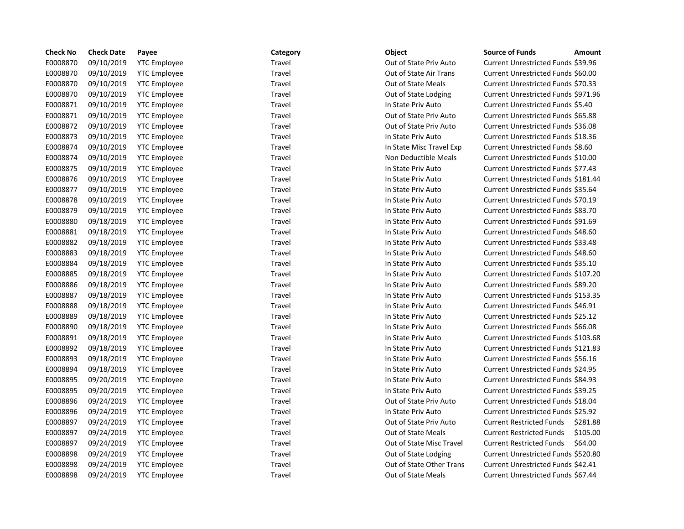| <b>Check No</b> | <b>Check Date</b> | Payee               | Category | Object                    | <b>Source of Funds</b><br>Amount            |
|-----------------|-------------------|---------------------|----------|---------------------------|---------------------------------------------|
| E0008870        | 09/10/2019        | <b>YTC Employee</b> | Travel   | Out of State Priv Auto    | Current Unrestricted Funds \$39.96          |
| E0008870        | 09/10/2019        | <b>YTC Employee</b> | Travel   | Out of State Air Trans    | Current Unrestricted Funds \$60.00          |
| E0008870        | 09/10/2019        | <b>YTC Employee</b> | Travel   | <b>Out of State Meals</b> | Current Unrestricted Funds \$70.33          |
| E0008870        | 09/10/2019        | <b>YTC Employee</b> | Travel   | Out of State Lodging      | Current Unrestricted Funds \$971.96         |
| E0008871        | 09/10/2019        | <b>YTC</b> Employee | Travel   | In State Priv Auto        | Current Unrestricted Funds \$5.40           |
| E0008871        | 09/10/2019        | <b>YTC Employee</b> | Travel   | Out of State Priv Auto    | Current Unrestricted Funds \$65.88          |
| E0008872        | 09/10/2019        | <b>YTC Employee</b> | Travel   | Out of State Priv Auto    | Current Unrestricted Funds \$36.08          |
| E0008873        | 09/10/2019        | <b>YTC Employee</b> | Travel   | In State Priv Auto        | Current Unrestricted Funds \$18.36          |
| E0008874        | 09/10/2019        | <b>YTC Employee</b> | Travel   | In State Misc Travel Exp  | Current Unrestricted Funds \$8.60           |
| E0008874        | 09/10/2019        | <b>YTC Employee</b> | Travel   | Non Deductible Meals      | Current Unrestricted Funds \$10.00          |
| E0008875        | 09/10/2019        | <b>YTC Employee</b> | Travel   | In State Priv Auto        | Current Unrestricted Funds \$77.43          |
| E0008876        | 09/10/2019        | <b>YTC Employee</b> | Travel   | In State Priv Auto        | Current Unrestricted Funds \$181.44         |
| E0008877        | 09/10/2019        | <b>YTC Employee</b> | Travel   | In State Priv Auto        | Current Unrestricted Funds \$35.64          |
| E0008878        | 09/10/2019        | <b>YTC Employee</b> | Travel   | In State Priv Auto        | Current Unrestricted Funds \$70.19          |
| E0008879        | 09/10/2019        | <b>YTC Employee</b> | Travel   | In State Priv Auto        | Current Unrestricted Funds \$83.70          |
| E0008880        | 09/18/2019        | <b>YTC Employee</b> | Travel   | In State Priv Auto        | Current Unrestricted Funds \$91.69          |
| E0008881        | 09/18/2019        | <b>YTC</b> Employee | Travel   | In State Priv Auto        | Current Unrestricted Funds \$48.60          |
| E0008882        | 09/18/2019        | <b>YTC Employee</b> | Travel   | In State Priv Auto        | Current Unrestricted Funds \$33.48          |
| E0008883        | 09/18/2019        | <b>YTC Employee</b> | Travel   | In State Priv Auto        | Current Unrestricted Funds \$48.60          |
| E0008884        | 09/18/2019        | <b>YTC Employee</b> | Travel   | In State Priv Auto        | Current Unrestricted Funds \$35.10          |
| E0008885        | 09/18/2019        | <b>YTC Employee</b> | Travel   | In State Priv Auto        | Current Unrestricted Funds \$107.20         |
| E0008886        | 09/18/2019        | <b>YTC</b> Employee | Travel   | In State Priv Auto        | Current Unrestricted Funds \$89.20          |
| E0008887        | 09/18/2019        | <b>YTC</b> Employee | Travel   | In State Priv Auto        | Current Unrestricted Funds \$153.35         |
| E0008888        | 09/18/2019        | <b>YTC</b> Employee | Travel   | In State Priv Auto        | Current Unrestricted Funds \$46.91          |
| E0008889        | 09/18/2019        | <b>YTC Employee</b> | Travel   | In State Priv Auto        | Current Unrestricted Funds \$25.12          |
| E0008890        | 09/18/2019        | <b>YTC Employee</b> | Travel   | In State Priv Auto        | Current Unrestricted Funds \$66.08          |
| E0008891        | 09/18/2019        | <b>YTC Employee</b> | Travel   | In State Priv Auto        | Current Unrestricted Funds \$103.68         |
| E0008892        | 09/18/2019        | <b>YTC</b> Employee | Travel   | In State Priv Auto        | Current Unrestricted Funds \$121.83         |
| E0008893        | 09/18/2019        | <b>YTC Employee</b> | Travel   | In State Priv Auto        | Current Unrestricted Funds \$56.16          |
| E0008894        | 09/18/2019        | <b>YTC Employee</b> | Travel   | In State Priv Auto        | Current Unrestricted Funds \$24.95          |
| E0008895        | 09/20/2019        | <b>YTC Employee</b> | Travel   | In State Priv Auto        | Current Unrestricted Funds \$84.93          |
| E0008895        | 09/20/2019        | <b>YTC Employee</b> | Travel   | In State Priv Auto        | Current Unrestricted Funds \$39.25          |
| E0008896        | 09/24/2019        | <b>YTC Employee</b> | Travel   | Out of State Priv Auto    | Current Unrestricted Funds \$18.04          |
| E0008896        | 09/24/2019        | <b>YTC</b> Employee | Travel   | In State Priv Auto        | <b>Current Unrestricted Funds \$25.92</b>   |
| E0008897        | 09/24/2019        | <b>YTC</b> Employee | Travel   | Out of State Priv Auto    | \$281.88<br><b>Current Restricted Funds</b> |
| E0008897        | 09/24/2019        | <b>YTC</b> Employee | Travel   | <b>Out of State Meals</b> | \$105.00<br><b>Current Restricted Funds</b> |
| E0008897        | 09/24/2019        | <b>YTC</b> Employee | Travel   | Out of State Misc Travel  | <b>Current Restricted Funds</b><br>\$64.00  |
| E0008898        | 09/24/2019        | <b>YTC Employee</b> | Travel   | Out of State Lodging      | Current Unrestricted Funds \$520.80         |
| E0008898        | 09/24/2019        | <b>YTC Employee</b> | Travel   | Out of State Other Trans  | Current Unrestricted Funds \$42.41          |
| E0008898        | 09/24/2019        | <b>YTC Employee</b> | Travel   | Out of State Meals        | Current Unrestricted Funds \$67.44          |